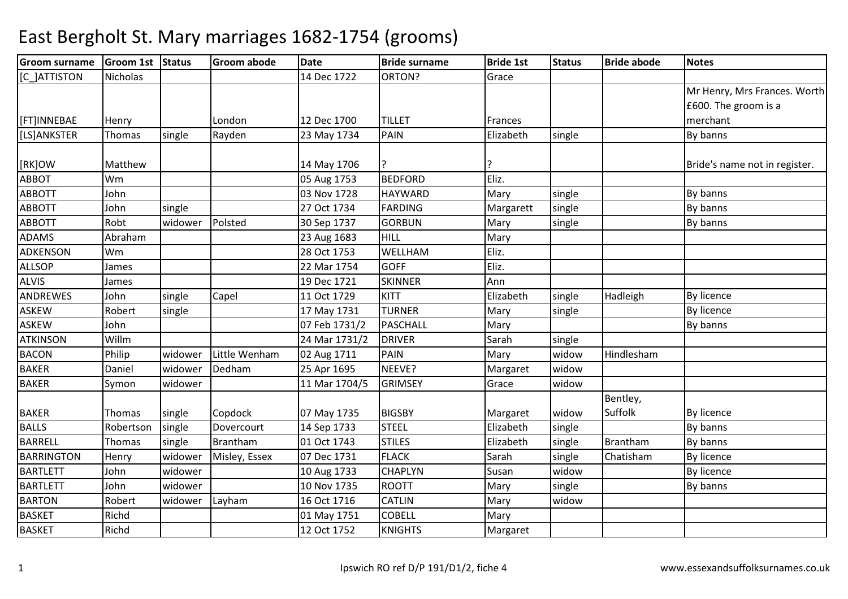| <b>Groom surname</b> | Groom 1st Status |         | <b>Groom abode</b> | <b>Date</b>   | <b>Bride surname</b> | <b>Bride 1st</b> | <b>Status</b> | <b>Bride abode</b> | <b>Notes</b>                  |
|----------------------|------------------|---------|--------------------|---------------|----------------------|------------------|---------------|--------------------|-------------------------------|
| [C_]ATTISTON         | <b>Nicholas</b>  |         |                    | 14 Dec 1722   | ORTON?               | Grace            |               |                    |                               |
|                      |                  |         |                    |               |                      |                  |               |                    | Mr Henry, Mrs Frances. Worth  |
|                      |                  |         |                    |               |                      |                  |               |                    | £600. The groom is a          |
| [FT]INNEBAE          | Henry            |         | London             | 12 Dec 1700   | <b>TILLET</b>        | Frances          |               |                    | merchant                      |
| [LS]ANKSTER          | Thomas           | single  | Rayden             | 23 May 1734   | <b>PAIN</b>          | Elizabeth        | single        |                    | By banns                      |
| [RK]OW               | Matthew          |         |                    | 14 May 1706   |                      |                  |               |                    | Bride's name not in register. |
| <b>ABBOT</b>         | Wm               |         |                    | 05 Aug 1753   | <b>BEDFORD</b>       | Eliz.            |               |                    |                               |
| <b>ABBOTT</b>        | John             |         |                    | 03 Nov 1728   | <b>HAYWARD</b>       | Mary             | single        |                    | By banns                      |
| <b>ABBOTT</b>        | John             | single  |                    | 27 Oct 1734   | <b>FARDING</b>       | Margarett        | single        |                    | By banns                      |
| <b>ABBOTT</b>        | Robt             | widower | Polsted            | 30 Sep 1737   | <b>GORBUN</b>        | Mary             | single        |                    | By banns                      |
| <b>ADAMS</b>         | Abraham          |         |                    | 23 Aug 1683   | HILL                 | Mary             |               |                    |                               |
| <b>ADKENSON</b>      | Wm               |         |                    | 28 Oct 1753   | WELLHAM              | Eliz.            |               |                    |                               |
| <b>ALLSOP</b>        | James            |         |                    | 22 Mar 1754   | <b>GOFF</b>          | Eliz.            |               |                    |                               |
| <b>ALVIS</b>         | James            |         |                    | 19 Dec 1721   | <b>SKINNER</b>       | Ann              |               |                    |                               |
| <b>ANDREWES</b>      | John             | single  | Capel              | 11 Oct 1729   | KITT                 | Elizabeth        | single        | Hadleigh           | By licence                    |
| <b>ASKEW</b>         | Robert           | single  |                    | 17 May 1731   | <b>TURNER</b>        | Mary             | single        |                    | <b>By licence</b>             |
| ASKEW                | John             |         |                    | 07 Feb 1731/2 | <b>PASCHALL</b>      | Mary             |               |                    | By banns                      |
| <b>ATKINSON</b>      | Willm            |         |                    | 24 Mar 1731/2 | <b>DRIVER</b>        | Sarah            | single        |                    |                               |
| <b>BACON</b>         | Philip           | widower | Little Wenham      | 02 Aug 1711   | <b>PAIN</b>          | Mary             | widow         | Hindlesham         |                               |
| <b>BAKER</b>         | Daniel           | widower | Dedham             | 25 Apr 1695   | NEEVE?               | Margaret         | widow         |                    |                               |
| <b>BAKER</b>         | Symon            | widower |                    | 11 Mar 1704/5 | <b>GRIMSEY</b>       | Grace            | widow         |                    |                               |
|                      |                  |         |                    |               |                      |                  |               | Bentley,           |                               |
| <b>BAKER</b>         | Thomas           | single  | Copdock            | 07 May 1735   | <b>BIGSBY</b>        | Margaret         | widow         | Suffolk            | By licence                    |
| <b>BALLS</b>         | Robertson        | single  | Dovercourt         | 14 Sep 1733   | <b>STEEL</b>         | Elizabeth        | single        |                    | By banns                      |
| <b>BARRELL</b>       | Thomas           | single  | Brantham           | 01 Oct 1743   | <b>STILES</b>        | Elizabeth        | single        | Brantham           | By banns                      |
| <b>BARRINGTON</b>    | Henry            | widower | Misley, Essex      | 07 Dec 1731   | <b>FLACK</b>         | Sarah            | single        | Chatisham          | By licence                    |
| <b>BARTLETT</b>      | John             | widower |                    | 10 Aug 1733   | <b>CHAPLYN</b>       | Susan            | widow         |                    | By licence                    |
| <b>BARTLETT</b>      | John             | widower |                    | 10 Nov 1735   | <b>ROOTT</b>         | Mary             | single        |                    | By banns                      |
| <b>BARTON</b>        | Robert           | widower | Layham             | 16 Oct 1716   | <b>CATLIN</b>        | Mary             | widow         |                    |                               |
| <b>BASKET</b>        | Richd            |         |                    | 01 May 1751   | <b>COBELL</b>        | Mary             |               |                    |                               |
| <b>BASKET</b>        | Richd            |         |                    | 12 Oct 1752   | <b>KNIGHTS</b>       | Margaret         |               |                    |                               |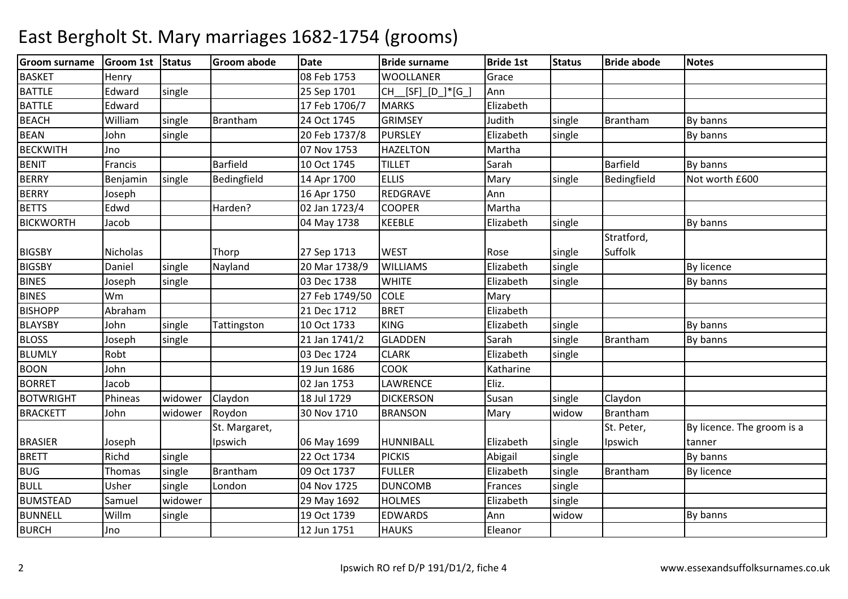| <b>Groom surname</b> | Groom 1st Status |         | <b>Groom abode</b> | <b>Date</b>    | <b>Bride surname</b> | <b>Bride 1st</b> | <b>Status</b> | <b>Bride abode</b> | <b>Notes</b>               |
|----------------------|------------------|---------|--------------------|----------------|----------------------|------------------|---------------|--------------------|----------------------------|
| <b>BASKET</b>        | Henry            |         |                    | 08 Feb 1753    | <b>WOOLLANER</b>     | Grace            |               |                    |                            |
| <b>BATTLE</b>        | Edward           | single  |                    | 25 Sep 1701    | CH_[SF]_[D_]*[G_]    | Ann              |               |                    |                            |
| <b>BATTLE</b>        | Edward           |         |                    | 17 Feb 1706/7  | <b>MARKS</b>         | Elizabeth        |               |                    |                            |
| <b>BEACH</b>         | William          | single  | Brantham           | 24 Oct 1745    | <b>GRIMSEY</b>       | Judith           | single        | Brantham           | By banns                   |
| <b>BEAN</b>          | John             | single  |                    | 20 Feb 1737/8  | <b>PURSLEY</b>       | Elizabeth        | single        |                    | By banns                   |
| <b>BECKWITH</b>      | Jno              |         |                    | 07 Nov 1753    | <b>HAZELTON</b>      | Martha           |               |                    |                            |
| <b>BENIT</b>         | Francis          |         | Barfield           | 10 Oct 1745    | <b>TILLET</b>        | Sarah            |               | Barfield           | By banns                   |
| <b>BERRY</b>         | Benjamin         | single  | Bedingfield        | 14 Apr 1700    | <b>ELLIS</b>         | Mary             | single        | Bedingfield        | Not worth £600             |
| <b>BERRY</b>         | Joseph           |         |                    | 16 Apr 1750    | REDGRAVE             | Ann              |               |                    |                            |
| <b>BETTS</b>         | Edwd             |         | Harden?            | 02 Jan 1723/4  | <b>COOPER</b>        | Martha           |               |                    |                            |
| <b>BICKWORTH</b>     | Jacob            |         |                    | 04 May 1738    | <b>KEEBLE</b>        | Elizabeth        | single        |                    | By banns                   |
|                      |                  |         |                    |                |                      |                  |               | Stratford,         |                            |
| <b>BIGSBY</b>        | Nicholas         |         | Thorp              | 27 Sep 1713    | <b>WEST</b>          | Rose             | single        | Suffolk            |                            |
| <b>BIGSBY</b>        | Daniel           | single  | Nayland            | 20 Mar 1738/9  | <b>WILLIAMS</b>      | Elizabeth        | single        |                    | <b>By licence</b>          |
| <b>BINES</b>         | Joseph           | single  |                    | 03 Dec 1738    | <b>WHITE</b>         | Elizabeth        | single        |                    | By banns                   |
| <b>BINES</b>         | Wm               |         |                    | 27 Feb 1749/50 | <b>COLE</b>          | Mary             |               |                    |                            |
| <b>BISHOPP</b>       | Abraham          |         |                    | 21 Dec 1712    | <b>BRET</b>          | Elizabeth        |               |                    |                            |
| <b>BLAYSBY</b>       | John             | single  | Tattingston        | 10 Oct 1733    | <b>KING</b>          | Elizabeth        | single        |                    | By banns                   |
| <b>BLOSS</b>         | Joseph           | single  |                    | 21 Jan 1741/2  | <b>GLADDEN</b>       | Sarah            | single        | Brantham           | By banns                   |
| <b>BLUMLY</b>        | Robt             |         |                    | 03 Dec 1724    | <b>CLARK</b>         | Elizabeth        | single        |                    |                            |
| <b>BOON</b>          | John             |         |                    | 19 Jun 1686    | <b>COOK</b>          | Katharine        |               |                    |                            |
| <b>BORRET</b>        | Jacob            |         |                    | 02 Jan 1753    | LAWRENCE             | Eliz.            |               |                    |                            |
| <b>BOTWRIGHT</b>     | Phineas          | widower | Claydon            | 18 Jul 1729    | <b>DICKERSON</b>     | Susan            | single        | Claydon            |                            |
| <b>BRACKETT</b>      | John             | widower | Roydon             | 30 Nov 1710    | <b>BRANSON</b>       | Mary             | widow         | <b>Brantham</b>    |                            |
|                      |                  |         | St. Margaret,      |                |                      |                  |               | St. Peter,         | By licence. The groom is a |
| <b>BRASIER</b>       | Joseph           |         | Ipswich            | 06 May 1699    | <b>HUNNIBALL</b>     | Elizabeth        | single        | Ipswich            | tanner                     |
| <b>BRETT</b>         | Richd            | single  |                    | 22 Oct 1734    | <b>PICKIS</b>        | Abigail          | single        |                    | By banns                   |
| <b>BUG</b>           | Thomas           | single  | <b>Brantham</b>    | 09 Oct 1737    | <b>FULLER</b>        | Elizabeth        | single        | Brantham           | By licence                 |
| <b>BULL</b>          | Usher            | single  | London             | 04 Nov 1725    | <b>DUNCOMB</b>       | Frances          | single        |                    |                            |
| <b>BUMSTEAD</b>      | Samuel           | widower |                    | 29 May 1692    | <b>HOLMES</b>        | Elizabeth        | single        |                    |                            |
| <b>BUNNELL</b>       | Willm            | single  |                    | 19 Oct 1739    | <b>EDWARDS</b>       | Ann              | widow         |                    | By banns                   |
| <b>BURCH</b>         | Jno              |         |                    | 12 Jun 1751    | <b>HAUKS</b>         | Eleanor          |               |                    |                            |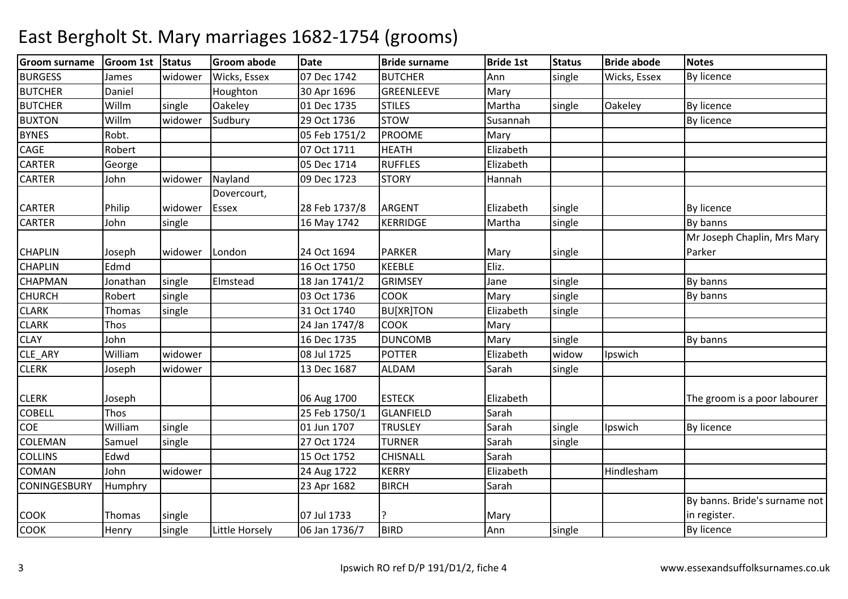| <b>Groom surname</b> | Groom 1st Status |         | <b>Groom abode</b> | <b>Date</b>   | <b>Bride surname</b> | <b>Bride 1st</b> | <b>Status</b> | <b>Bride abode</b> | <b>Notes</b>                  |
|----------------------|------------------|---------|--------------------|---------------|----------------------|------------------|---------------|--------------------|-------------------------------|
| <b>BURGESS</b>       | James            | widower | Wicks, Essex       | 07 Dec 1742   | <b>BUTCHER</b>       | Ann              | single        | Wicks, Essex       | <b>By licence</b>             |
| <b>BUTCHER</b>       | Daniel           |         | Houghton           | 30 Apr 1696   | GREENLEEVE           | Mary             |               |                    |                               |
| <b>BUTCHER</b>       | Willm            | single  | Oakeley            | 01 Dec 1735   | <b>STILES</b>        | Martha           | single        | Oakeley            | <b>By licence</b>             |
| <b>BUXTON</b>        | Willm            | widower | Sudbury            | 29 Oct 1736   | <b>STOW</b>          | Susannah         |               |                    | By licence                    |
| <b>BYNES</b>         | Robt.            |         |                    | 05 Feb 1751/2 | <b>PROOME</b>        | Mary             |               |                    |                               |
| CAGE                 | Robert           |         |                    | 07 Oct 1711   | <b>HEATH</b>         | Elizabeth        |               |                    |                               |
| <b>CARTER</b>        | George           |         |                    | 05 Dec 1714   | <b>RUFFLES</b>       | Elizabeth        |               |                    |                               |
| <b>CARTER</b>        | John             | widower | Nayland            | 09 Dec 1723   | <b>STORY</b>         | Hannah           |               |                    |                               |
|                      |                  |         | Dovercourt,        |               |                      |                  |               |                    |                               |
| <b>CARTER</b>        | Philip           | widower | Essex              | 28 Feb 1737/8 | ARGENT               | Elizabeth        | single        |                    | <b>By licence</b>             |
| <b>CARTER</b>        | John             | single  |                    | 16 May 1742   | KERRIDGE             | Martha           | single        |                    | By banns                      |
|                      |                  |         |                    |               |                      |                  |               |                    | Mr Joseph Chaplin, Mrs Mary   |
| <b>CHAPLIN</b>       | Joseph           | widower | London             | 24 Oct 1694   | <b>PARKER</b>        | Mary             | single        |                    | Parker                        |
| <b>CHAPLIN</b>       | Edmd             |         |                    | 16 Oct 1750   | <b>KEEBLE</b>        | Eliz.            |               |                    |                               |
| <b>CHAPMAN</b>       | Jonathan         | single  | Elmstead           | 18 Jan 1741/2 | <b>GRIMSEY</b>       | Jane             | single        |                    | By banns                      |
| <b>CHURCH</b>        | Robert           | single  |                    | 03 Oct 1736   | <b>COOK</b>          | Mary             | single        |                    | By banns                      |
| <b>CLARK</b>         | Thomas           | single  |                    | 31 Oct 1740   | <b>BU[XR]TON</b>     | Elizabeth        | single        |                    |                               |
| <b>CLARK</b>         | Thos             |         |                    | 24 Jan 1747/8 | <b>COOK</b>          | Mary             |               |                    |                               |
| <b>CLAY</b>          | John             |         |                    | 16 Dec 1735   | <b>DUNCOMB</b>       | Mary             | single        |                    | By banns                      |
| CLE ARY              | William          | widower |                    | 08 Jul 1725   | <b>POTTER</b>        | Elizabeth        | widow         | Ipswich            |                               |
| <b>CLERK</b>         | Joseph           | widower |                    | 13 Dec 1687   | <b>ALDAM</b>         | Sarah            | single        |                    |                               |
|                      |                  |         |                    |               |                      |                  |               |                    |                               |
| <b>CLERK</b>         | Joseph           |         |                    | 06 Aug 1700   | <b>ESTECK</b>        | Elizabeth        |               |                    | The groom is a poor labourer  |
| <b>COBELL</b>        | Thos             |         |                    | 25 Feb 1750/1 | <b>GLANFIELD</b>     | Sarah            |               |                    |                               |
| COE                  | William          | single  |                    | 01 Jun 1707   | <b>TRUSLEY</b>       | Sarah            | single        | Ipswich            | <b>By licence</b>             |
| <b>COLEMAN</b>       | Samuel           | single  |                    | 27 Oct 1724   | <b>TURNER</b>        | Sarah            | single        |                    |                               |
| <b>COLLINS</b>       | Edwd             |         |                    | 15 Oct 1752   | <b>CHISNALL</b>      | Sarah            |               |                    |                               |
| <b>COMAN</b>         | John             | widower |                    | 24 Aug 1722   | <b>KERRY</b>         | Elizabeth        |               | Hindlesham         |                               |
| <b>CONINGESBURY</b>  | Humphry          |         |                    | 23 Apr 1682   | <b>BIRCH</b>         | Sarah            |               |                    |                               |
|                      |                  |         |                    |               |                      |                  |               |                    | By banns. Bride's surname not |
| <b>COOK</b>          | Thomas           | single  |                    | 07 Jul 1733   |                      | Mary             |               |                    | in register.                  |
| <b>COOK</b>          | Henry            | single  | Little Horsely     | 06 Jan 1736/7 | <b>BIRD</b>          | Ann              | single        |                    | By licence                    |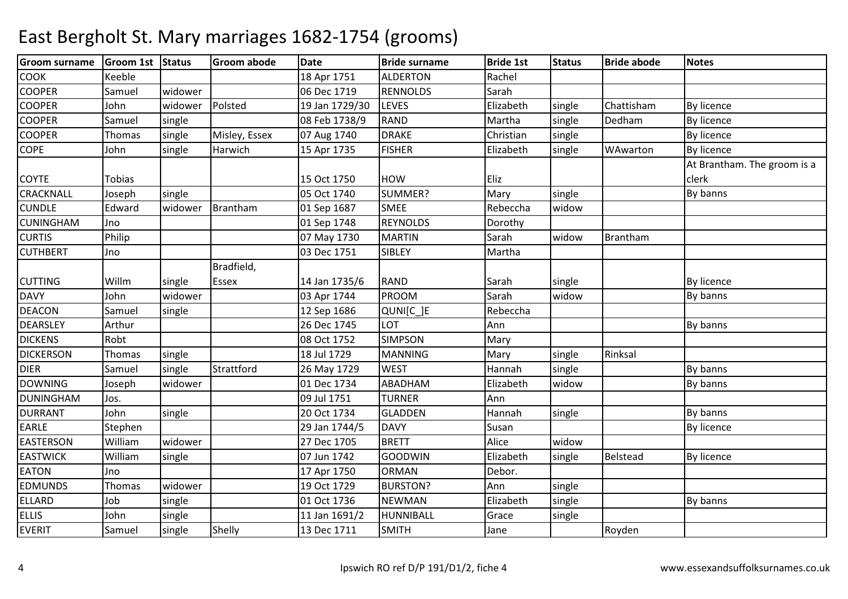| <b>COOK</b><br>Keeble<br>18 Apr 1751<br>Rachel<br><b>ALDERTON</b><br><b>COOPER</b><br><b>RENNOLDS</b><br>Sarah<br>06 Dec 1719<br>Samuel<br>widower<br>Polsted<br><b>COOPER</b><br>Chattisham<br>widower<br>19 Jan 1729/30<br><b>LEVES</b><br>Elizabeth<br>single<br>By licence<br>John<br><b>COOPER</b><br><b>RAND</b><br>Dedham<br>single<br>08 Feb 1738/9<br>Martha<br>By licence<br>Samuel<br>single<br><b>COOPER</b><br>single<br>Misley, Essex<br><b>DRAKE</b><br>Christian<br>By licence<br>Thomas<br>07 Aug 1740<br>single<br><b>FISHER</b><br><b>COPE</b><br>Harwich<br>Elizabeth<br>WAwarton<br>By licence<br>John<br>single<br>15 Apr 1735<br>single<br>At Brantham. The groom is a<br><b>COYTE</b><br>Tobias<br>15 Oct 1750<br><b>HOW</b><br>Eliz<br>clerk<br><b>CRACKNALL</b><br>SUMMER?<br>Mary<br>single<br>By banns<br>single<br>05 Oct 1740<br>Joseph<br><b>CUNDLE</b><br>Brantham<br><b>SMEE</b><br>Rebeccha<br>Edward<br>widower<br>01 Sep 1687<br>widow<br><b>CUNINGHAM</b><br><b>REYNOLDS</b><br>Dorothy<br>Jno<br>01 Sep 1748<br><b>CURTIS</b><br>Philip<br><b>MARTIN</b><br>Sarah<br>Brantham<br>07 May 1730<br>widow<br><b>CUTHBERT</b><br>03 Dec 1751<br>SIBLEY<br>Martha<br>Jno<br>Bradfield,<br><b>CUTTING</b><br>Willm<br><b>RAND</b><br>single<br><b>Essex</b><br>14 Jan 1735/6<br>Sarah<br>single<br><b>By licence</b><br><b>DAVY</b><br>PROOM<br>Sarah<br>By banns<br>John<br>widower<br>03 Apr 1744<br>widow<br><b>DEACON</b><br>Rebeccha<br>Samuel<br>12 Sep 1686<br>QUNI[C_]E<br>single<br><b>DEARSLEY</b><br>26 Dec 1745<br>Ann<br>Arthur<br>LOT<br>By banns<br><b>DICKENS</b><br>Robt<br>08 Oct 1752<br><b>SIMPSON</b><br>Mary<br><b>DICKERSON</b><br>18 Jul 1729<br>Rinksal<br><b>MANNING</b><br>single<br>Mary<br>single<br>Thomas<br><b>DIER</b><br>Strattford<br><b>WEST</b><br>By banns<br>Samuel<br>single<br>26 May 1729<br>Hannah<br>single<br><b>DOWNING</b><br>Elizabeth<br>01 Dec 1734<br><b>ABADHAM</b><br>widower<br>widow<br>Joseph<br>By banns<br><b>DUNINGHAM</b><br>09 Jul 1751<br><b>TURNER</b><br>Ann<br>Jos.<br><b>DURRANT</b><br>20 Oct 1734<br>By banns<br>John<br>single<br><b>GLADDEN</b><br>Hannah<br>single<br><b>EARLE</b><br>Susan<br>29 Jan 1744/5<br><b>DAVY</b><br><b>By licence</b><br>Stephen<br>Alice<br><b>EASTERSON</b><br><b>BRETT</b><br>widow<br>William<br>widower<br>27 Dec 1705<br><b>EASTWICK</b><br>William<br>07 Jun 1742<br><b>GOODWIN</b><br>Elizabeth<br>Belstead<br>By licence<br>single<br>single<br><b>EATON</b><br>17 Apr 1750<br>Debor.<br>Jno<br><b>ORMAN</b><br>19 Oct 1729<br>Ann<br><b>EDMUNDS</b><br>widower<br><b>BURSTON?</b><br>Thomas<br>single<br><b>ELLARD</b><br>Job<br>Elizabeth<br>01 Oct 1736<br><b>NEWMAN</b><br>single<br>single<br>By banns<br><b>ELLIS</b><br>John<br>HUNNIBALL<br>single<br>11 Jan 1691/2<br>Grace<br>single<br><b>EVERIT</b><br>Shelly<br>single<br>13 Dec 1711<br><b>SMITH</b><br>Royden<br>Samuel<br>Jane | <b>Groom surname</b> | Groom 1st Status | Groom abode | <b>Date</b> | <b>Bride surname</b> | <b>Bride 1st</b> | <b>Status</b> | <b>Bride abode</b> | <b>Notes</b> |
|------------------------------------------------------------------------------------------------------------------------------------------------------------------------------------------------------------------------------------------------------------------------------------------------------------------------------------------------------------------------------------------------------------------------------------------------------------------------------------------------------------------------------------------------------------------------------------------------------------------------------------------------------------------------------------------------------------------------------------------------------------------------------------------------------------------------------------------------------------------------------------------------------------------------------------------------------------------------------------------------------------------------------------------------------------------------------------------------------------------------------------------------------------------------------------------------------------------------------------------------------------------------------------------------------------------------------------------------------------------------------------------------------------------------------------------------------------------------------------------------------------------------------------------------------------------------------------------------------------------------------------------------------------------------------------------------------------------------------------------------------------------------------------------------------------------------------------------------------------------------------------------------------------------------------------------------------------------------------------------------------------------------------------------------------------------------------------------------------------------------------------------------------------------------------------------------------------------------------------------------------------------------------------------------------------------------------------------------------------------------------------------------------------------------------------------------------------------------------------------------------------------------------------------------------------------------------------------------------------------------------------------------------------------------------------------------------------------------------------------------------------------------------------------------------------------------------------------------------------------------------------------------------------------------------------------|----------------------|------------------|-------------|-------------|----------------------|------------------|---------------|--------------------|--------------|
|                                                                                                                                                                                                                                                                                                                                                                                                                                                                                                                                                                                                                                                                                                                                                                                                                                                                                                                                                                                                                                                                                                                                                                                                                                                                                                                                                                                                                                                                                                                                                                                                                                                                                                                                                                                                                                                                                                                                                                                                                                                                                                                                                                                                                                                                                                                                                                                                                                                                                                                                                                                                                                                                                                                                                                                                                                                                                                                                          |                      |                  |             |             |                      |                  |               |                    |              |
|                                                                                                                                                                                                                                                                                                                                                                                                                                                                                                                                                                                                                                                                                                                                                                                                                                                                                                                                                                                                                                                                                                                                                                                                                                                                                                                                                                                                                                                                                                                                                                                                                                                                                                                                                                                                                                                                                                                                                                                                                                                                                                                                                                                                                                                                                                                                                                                                                                                                                                                                                                                                                                                                                                                                                                                                                                                                                                                                          |                      |                  |             |             |                      |                  |               |                    |              |
|                                                                                                                                                                                                                                                                                                                                                                                                                                                                                                                                                                                                                                                                                                                                                                                                                                                                                                                                                                                                                                                                                                                                                                                                                                                                                                                                                                                                                                                                                                                                                                                                                                                                                                                                                                                                                                                                                                                                                                                                                                                                                                                                                                                                                                                                                                                                                                                                                                                                                                                                                                                                                                                                                                                                                                                                                                                                                                                                          |                      |                  |             |             |                      |                  |               |                    |              |
|                                                                                                                                                                                                                                                                                                                                                                                                                                                                                                                                                                                                                                                                                                                                                                                                                                                                                                                                                                                                                                                                                                                                                                                                                                                                                                                                                                                                                                                                                                                                                                                                                                                                                                                                                                                                                                                                                                                                                                                                                                                                                                                                                                                                                                                                                                                                                                                                                                                                                                                                                                                                                                                                                                                                                                                                                                                                                                                                          |                      |                  |             |             |                      |                  |               |                    |              |
|                                                                                                                                                                                                                                                                                                                                                                                                                                                                                                                                                                                                                                                                                                                                                                                                                                                                                                                                                                                                                                                                                                                                                                                                                                                                                                                                                                                                                                                                                                                                                                                                                                                                                                                                                                                                                                                                                                                                                                                                                                                                                                                                                                                                                                                                                                                                                                                                                                                                                                                                                                                                                                                                                                                                                                                                                                                                                                                                          |                      |                  |             |             |                      |                  |               |                    |              |
|                                                                                                                                                                                                                                                                                                                                                                                                                                                                                                                                                                                                                                                                                                                                                                                                                                                                                                                                                                                                                                                                                                                                                                                                                                                                                                                                                                                                                                                                                                                                                                                                                                                                                                                                                                                                                                                                                                                                                                                                                                                                                                                                                                                                                                                                                                                                                                                                                                                                                                                                                                                                                                                                                                                                                                                                                                                                                                                                          |                      |                  |             |             |                      |                  |               |                    |              |
|                                                                                                                                                                                                                                                                                                                                                                                                                                                                                                                                                                                                                                                                                                                                                                                                                                                                                                                                                                                                                                                                                                                                                                                                                                                                                                                                                                                                                                                                                                                                                                                                                                                                                                                                                                                                                                                                                                                                                                                                                                                                                                                                                                                                                                                                                                                                                                                                                                                                                                                                                                                                                                                                                                                                                                                                                                                                                                                                          |                      |                  |             |             |                      |                  |               |                    |              |
|                                                                                                                                                                                                                                                                                                                                                                                                                                                                                                                                                                                                                                                                                                                                                                                                                                                                                                                                                                                                                                                                                                                                                                                                                                                                                                                                                                                                                                                                                                                                                                                                                                                                                                                                                                                                                                                                                                                                                                                                                                                                                                                                                                                                                                                                                                                                                                                                                                                                                                                                                                                                                                                                                                                                                                                                                                                                                                                                          |                      |                  |             |             |                      |                  |               |                    |              |
|                                                                                                                                                                                                                                                                                                                                                                                                                                                                                                                                                                                                                                                                                                                                                                                                                                                                                                                                                                                                                                                                                                                                                                                                                                                                                                                                                                                                                                                                                                                                                                                                                                                                                                                                                                                                                                                                                                                                                                                                                                                                                                                                                                                                                                                                                                                                                                                                                                                                                                                                                                                                                                                                                                                                                                                                                                                                                                                                          |                      |                  |             |             |                      |                  |               |                    |              |
|                                                                                                                                                                                                                                                                                                                                                                                                                                                                                                                                                                                                                                                                                                                                                                                                                                                                                                                                                                                                                                                                                                                                                                                                                                                                                                                                                                                                                                                                                                                                                                                                                                                                                                                                                                                                                                                                                                                                                                                                                                                                                                                                                                                                                                                                                                                                                                                                                                                                                                                                                                                                                                                                                                                                                                                                                                                                                                                                          |                      |                  |             |             |                      |                  |               |                    |              |
|                                                                                                                                                                                                                                                                                                                                                                                                                                                                                                                                                                                                                                                                                                                                                                                                                                                                                                                                                                                                                                                                                                                                                                                                                                                                                                                                                                                                                                                                                                                                                                                                                                                                                                                                                                                                                                                                                                                                                                                                                                                                                                                                                                                                                                                                                                                                                                                                                                                                                                                                                                                                                                                                                                                                                                                                                                                                                                                                          |                      |                  |             |             |                      |                  |               |                    |              |
|                                                                                                                                                                                                                                                                                                                                                                                                                                                                                                                                                                                                                                                                                                                                                                                                                                                                                                                                                                                                                                                                                                                                                                                                                                                                                                                                                                                                                                                                                                                                                                                                                                                                                                                                                                                                                                                                                                                                                                                                                                                                                                                                                                                                                                                                                                                                                                                                                                                                                                                                                                                                                                                                                                                                                                                                                                                                                                                                          |                      |                  |             |             |                      |                  |               |                    |              |
|                                                                                                                                                                                                                                                                                                                                                                                                                                                                                                                                                                                                                                                                                                                                                                                                                                                                                                                                                                                                                                                                                                                                                                                                                                                                                                                                                                                                                                                                                                                                                                                                                                                                                                                                                                                                                                                                                                                                                                                                                                                                                                                                                                                                                                                                                                                                                                                                                                                                                                                                                                                                                                                                                                                                                                                                                                                                                                                                          |                      |                  |             |             |                      |                  |               |                    |              |
|                                                                                                                                                                                                                                                                                                                                                                                                                                                                                                                                                                                                                                                                                                                                                                                                                                                                                                                                                                                                                                                                                                                                                                                                                                                                                                                                                                                                                                                                                                                                                                                                                                                                                                                                                                                                                                                                                                                                                                                                                                                                                                                                                                                                                                                                                                                                                                                                                                                                                                                                                                                                                                                                                                                                                                                                                                                                                                                                          |                      |                  |             |             |                      |                  |               |                    |              |
|                                                                                                                                                                                                                                                                                                                                                                                                                                                                                                                                                                                                                                                                                                                                                                                                                                                                                                                                                                                                                                                                                                                                                                                                                                                                                                                                                                                                                                                                                                                                                                                                                                                                                                                                                                                                                                                                                                                                                                                                                                                                                                                                                                                                                                                                                                                                                                                                                                                                                                                                                                                                                                                                                                                                                                                                                                                                                                                                          |                      |                  |             |             |                      |                  |               |                    |              |
|                                                                                                                                                                                                                                                                                                                                                                                                                                                                                                                                                                                                                                                                                                                                                                                                                                                                                                                                                                                                                                                                                                                                                                                                                                                                                                                                                                                                                                                                                                                                                                                                                                                                                                                                                                                                                                                                                                                                                                                                                                                                                                                                                                                                                                                                                                                                                                                                                                                                                                                                                                                                                                                                                                                                                                                                                                                                                                                                          |                      |                  |             |             |                      |                  |               |                    |              |
|                                                                                                                                                                                                                                                                                                                                                                                                                                                                                                                                                                                                                                                                                                                                                                                                                                                                                                                                                                                                                                                                                                                                                                                                                                                                                                                                                                                                                                                                                                                                                                                                                                                                                                                                                                                                                                                                                                                                                                                                                                                                                                                                                                                                                                                                                                                                                                                                                                                                                                                                                                                                                                                                                                                                                                                                                                                                                                                                          |                      |                  |             |             |                      |                  |               |                    |              |
|                                                                                                                                                                                                                                                                                                                                                                                                                                                                                                                                                                                                                                                                                                                                                                                                                                                                                                                                                                                                                                                                                                                                                                                                                                                                                                                                                                                                                                                                                                                                                                                                                                                                                                                                                                                                                                                                                                                                                                                                                                                                                                                                                                                                                                                                                                                                                                                                                                                                                                                                                                                                                                                                                                                                                                                                                                                                                                                                          |                      |                  |             |             |                      |                  |               |                    |              |
|                                                                                                                                                                                                                                                                                                                                                                                                                                                                                                                                                                                                                                                                                                                                                                                                                                                                                                                                                                                                                                                                                                                                                                                                                                                                                                                                                                                                                                                                                                                                                                                                                                                                                                                                                                                                                                                                                                                                                                                                                                                                                                                                                                                                                                                                                                                                                                                                                                                                                                                                                                                                                                                                                                                                                                                                                                                                                                                                          |                      |                  |             |             |                      |                  |               |                    |              |
|                                                                                                                                                                                                                                                                                                                                                                                                                                                                                                                                                                                                                                                                                                                                                                                                                                                                                                                                                                                                                                                                                                                                                                                                                                                                                                                                                                                                                                                                                                                                                                                                                                                                                                                                                                                                                                                                                                                                                                                                                                                                                                                                                                                                                                                                                                                                                                                                                                                                                                                                                                                                                                                                                                                                                                                                                                                                                                                                          |                      |                  |             |             |                      |                  |               |                    |              |
|                                                                                                                                                                                                                                                                                                                                                                                                                                                                                                                                                                                                                                                                                                                                                                                                                                                                                                                                                                                                                                                                                                                                                                                                                                                                                                                                                                                                                                                                                                                                                                                                                                                                                                                                                                                                                                                                                                                                                                                                                                                                                                                                                                                                                                                                                                                                                                                                                                                                                                                                                                                                                                                                                                                                                                                                                                                                                                                                          |                      |                  |             |             |                      |                  |               |                    |              |
|                                                                                                                                                                                                                                                                                                                                                                                                                                                                                                                                                                                                                                                                                                                                                                                                                                                                                                                                                                                                                                                                                                                                                                                                                                                                                                                                                                                                                                                                                                                                                                                                                                                                                                                                                                                                                                                                                                                                                                                                                                                                                                                                                                                                                                                                                                                                                                                                                                                                                                                                                                                                                                                                                                                                                                                                                                                                                                                                          |                      |                  |             |             |                      |                  |               |                    |              |
|                                                                                                                                                                                                                                                                                                                                                                                                                                                                                                                                                                                                                                                                                                                                                                                                                                                                                                                                                                                                                                                                                                                                                                                                                                                                                                                                                                                                                                                                                                                                                                                                                                                                                                                                                                                                                                                                                                                                                                                                                                                                                                                                                                                                                                                                                                                                                                                                                                                                                                                                                                                                                                                                                                                                                                                                                                                                                                                                          |                      |                  |             |             |                      |                  |               |                    |              |
|                                                                                                                                                                                                                                                                                                                                                                                                                                                                                                                                                                                                                                                                                                                                                                                                                                                                                                                                                                                                                                                                                                                                                                                                                                                                                                                                                                                                                                                                                                                                                                                                                                                                                                                                                                                                                                                                                                                                                                                                                                                                                                                                                                                                                                                                                                                                                                                                                                                                                                                                                                                                                                                                                                                                                                                                                                                                                                                                          |                      |                  |             |             |                      |                  |               |                    |              |
|                                                                                                                                                                                                                                                                                                                                                                                                                                                                                                                                                                                                                                                                                                                                                                                                                                                                                                                                                                                                                                                                                                                                                                                                                                                                                                                                                                                                                                                                                                                                                                                                                                                                                                                                                                                                                                                                                                                                                                                                                                                                                                                                                                                                                                                                                                                                                                                                                                                                                                                                                                                                                                                                                                                                                                                                                                                                                                                                          |                      |                  |             |             |                      |                  |               |                    |              |
|                                                                                                                                                                                                                                                                                                                                                                                                                                                                                                                                                                                                                                                                                                                                                                                                                                                                                                                                                                                                                                                                                                                                                                                                                                                                                                                                                                                                                                                                                                                                                                                                                                                                                                                                                                                                                                                                                                                                                                                                                                                                                                                                                                                                                                                                                                                                                                                                                                                                                                                                                                                                                                                                                                                                                                                                                                                                                                                                          |                      |                  |             |             |                      |                  |               |                    |              |
|                                                                                                                                                                                                                                                                                                                                                                                                                                                                                                                                                                                                                                                                                                                                                                                                                                                                                                                                                                                                                                                                                                                                                                                                                                                                                                                                                                                                                                                                                                                                                                                                                                                                                                                                                                                                                                                                                                                                                                                                                                                                                                                                                                                                                                                                                                                                                                                                                                                                                                                                                                                                                                                                                                                                                                                                                                                                                                                                          |                      |                  |             |             |                      |                  |               |                    |              |
|                                                                                                                                                                                                                                                                                                                                                                                                                                                                                                                                                                                                                                                                                                                                                                                                                                                                                                                                                                                                                                                                                                                                                                                                                                                                                                                                                                                                                                                                                                                                                                                                                                                                                                                                                                                                                                                                                                                                                                                                                                                                                                                                                                                                                                                                                                                                                                                                                                                                                                                                                                                                                                                                                                                                                                                                                                                                                                                                          |                      |                  |             |             |                      |                  |               |                    |              |
|                                                                                                                                                                                                                                                                                                                                                                                                                                                                                                                                                                                                                                                                                                                                                                                                                                                                                                                                                                                                                                                                                                                                                                                                                                                                                                                                                                                                                                                                                                                                                                                                                                                                                                                                                                                                                                                                                                                                                                                                                                                                                                                                                                                                                                                                                                                                                                                                                                                                                                                                                                                                                                                                                                                                                                                                                                                                                                                                          |                      |                  |             |             |                      |                  |               |                    |              |
|                                                                                                                                                                                                                                                                                                                                                                                                                                                                                                                                                                                                                                                                                                                                                                                                                                                                                                                                                                                                                                                                                                                                                                                                                                                                                                                                                                                                                                                                                                                                                                                                                                                                                                                                                                                                                                                                                                                                                                                                                                                                                                                                                                                                                                                                                                                                                                                                                                                                                                                                                                                                                                                                                                                                                                                                                                                                                                                                          |                      |                  |             |             |                      |                  |               |                    |              |
|                                                                                                                                                                                                                                                                                                                                                                                                                                                                                                                                                                                                                                                                                                                                                                                                                                                                                                                                                                                                                                                                                                                                                                                                                                                                                                                                                                                                                                                                                                                                                                                                                                                                                                                                                                                                                                                                                                                                                                                                                                                                                                                                                                                                                                                                                                                                                                                                                                                                                                                                                                                                                                                                                                                                                                                                                                                                                                                                          |                      |                  |             |             |                      |                  |               |                    |              |
|                                                                                                                                                                                                                                                                                                                                                                                                                                                                                                                                                                                                                                                                                                                                                                                                                                                                                                                                                                                                                                                                                                                                                                                                                                                                                                                                                                                                                                                                                                                                                                                                                                                                                                                                                                                                                                                                                                                                                                                                                                                                                                                                                                                                                                                                                                                                                                                                                                                                                                                                                                                                                                                                                                                                                                                                                                                                                                                                          |                      |                  |             |             |                      |                  |               |                    |              |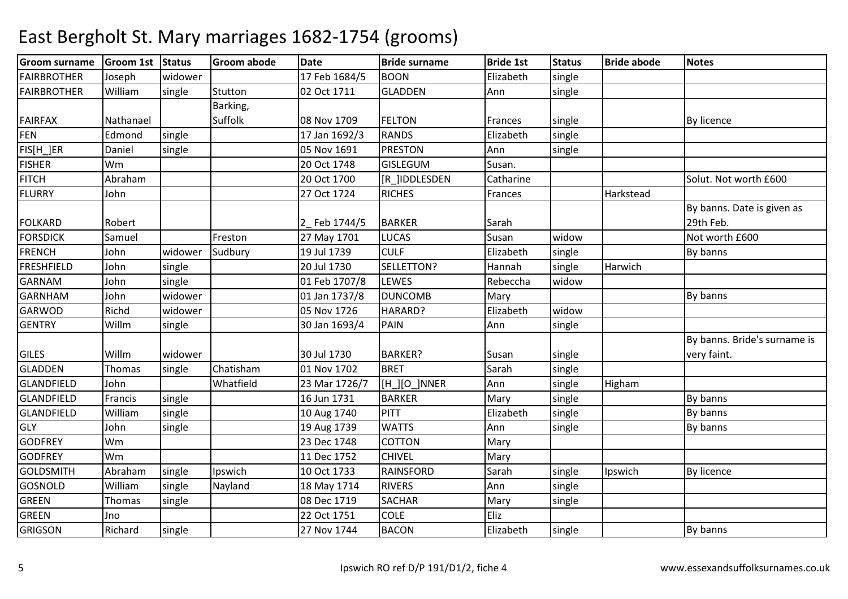| <b>FAIRBROTHER</b><br>17 Feb 1684/5<br><b>BOON</b><br>Elizabeth<br>Joseph<br>widower<br>single<br>William<br><b>FAIRBROTHER</b><br>single<br>Stutton<br>02 Oct 1711<br><b>GLADDEN</b><br>Ann<br>single<br>Barking,<br>Suffolk<br><b>FAIRFAX</b><br>08 Nov 1709<br><b>FELTON</b><br>Nathanael<br><b>By licence</b><br>Frances<br>single<br><b>FEN</b><br>Edmond<br>17 Jan 1692/3<br><b>RANDS</b><br>Elizabeth<br>single<br>single<br>FIS[H_]ER<br>05 Nov 1691<br><b>PRESTON</b><br>Daniel<br>single<br>Ann<br>single<br><b>FISHER</b><br>Wm<br>20 Oct 1748<br><b>GISLEGUM</b><br>Susan.<br><b>FITCH</b><br>Abraham<br>20 Oct 1700<br>[R ]IDDLESDEN<br>Catharine<br>Solut. Not worth £600<br><b>FLURRY</b><br>John<br>27 Oct 1724<br><b>RICHES</b><br>Harkstead<br>Frances<br>By banns. Date is given as<br>29th Feb.<br><b>FOLKARD</b><br>Robert<br>2_Feb 1744/5<br><b>BARKER</b><br>Sarah<br><b>FORSDICK</b><br>27 May 1701<br><b>LUCAS</b><br>widow<br>Not worth £600<br>Samuel<br>Freston<br>Susan<br><b>FRENCH</b><br>John<br>widower<br>Sudbury<br>19 Jul 1739<br><b>CULF</b><br>Elizabeth<br>single<br>By banns<br><b>FRESHFIELD</b><br>SELLETTON?<br>20 Jul 1730<br>Harwich<br>John<br>single<br>Hannah<br>single<br><b>GARNAM</b><br><b>LEWES</b><br>Rebeccha<br>John<br>single<br>01 Feb 1707/8<br>widow<br><b>GARNHAM</b><br>01 Jan 1737/8<br><b>DUNCOMB</b><br>By banns<br>John<br>widower<br>Mary<br><b>GARWOD</b><br>widow<br>Richd<br>widower<br>05 Nov 1726<br>HARARD?<br>Elizabeth |
|---------------------------------------------------------------------------------------------------------------------------------------------------------------------------------------------------------------------------------------------------------------------------------------------------------------------------------------------------------------------------------------------------------------------------------------------------------------------------------------------------------------------------------------------------------------------------------------------------------------------------------------------------------------------------------------------------------------------------------------------------------------------------------------------------------------------------------------------------------------------------------------------------------------------------------------------------------------------------------------------------------------------------------------------------------------------------------------------------------------------------------------------------------------------------------------------------------------------------------------------------------------------------------------------------------------------------------------------------------------------------------------------------------------------------------------------------------------------------------------------------|
|                                                                                                                                                                                                                                                                                                                                                                                                                                                                                                                                                                                                                                                                                                                                                                                                                                                                                                                                                                                                                                                                                                                                                                                                                                                                                                                                                                                                                                                                                                   |
|                                                                                                                                                                                                                                                                                                                                                                                                                                                                                                                                                                                                                                                                                                                                                                                                                                                                                                                                                                                                                                                                                                                                                                                                                                                                                                                                                                                                                                                                                                   |
|                                                                                                                                                                                                                                                                                                                                                                                                                                                                                                                                                                                                                                                                                                                                                                                                                                                                                                                                                                                                                                                                                                                                                                                                                                                                                                                                                                                                                                                                                                   |
|                                                                                                                                                                                                                                                                                                                                                                                                                                                                                                                                                                                                                                                                                                                                                                                                                                                                                                                                                                                                                                                                                                                                                                                                                                                                                                                                                                                                                                                                                                   |
|                                                                                                                                                                                                                                                                                                                                                                                                                                                                                                                                                                                                                                                                                                                                                                                                                                                                                                                                                                                                                                                                                                                                                                                                                                                                                                                                                                                                                                                                                                   |
|                                                                                                                                                                                                                                                                                                                                                                                                                                                                                                                                                                                                                                                                                                                                                                                                                                                                                                                                                                                                                                                                                                                                                                                                                                                                                                                                                                                                                                                                                                   |
|                                                                                                                                                                                                                                                                                                                                                                                                                                                                                                                                                                                                                                                                                                                                                                                                                                                                                                                                                                                                                                                                                                                                                                                                                                                                                                                                                                                                                                                                                                   |
|                                                                                                                                                                                                                                                                                                                                                                                                                                                                                                                                                                                                                                                                                                                                                                                                                                                                                                                                                                                                                                                                                                                                                                                                                                                                                                                                                                                                                                                                                                   |
|                                                                                                                                                                                                                                                                                                                                                                                                                                                                                                                                                                                                                                                                                                                                                                                                                                                                                                                                                                                                                                                                                                                                                                                                                                                                                                                                                                                                                                                                                                   |
|                                                                                                                                                                                                                                                                                                                                                                                                                                                                                                                                                                                                                                                                                                                                                                                                                                                                                                                                                                                                                                                                                                                                                                                                                                                                                                                                                                                                                                                                                                   |
|                                                                                                                                                                                                                                                                                                                                                                                                                                                                                                                                                                                                                                                                                                                                                                                                                                                                                                                                                                                                                                                                                                                                                                                                                                                                                                                                                                                                                                                                                                   |
|                                                                                                                                                                                                                                                                                                                                                                                                                                                                                                                                                                                                                                                                                                                                                                                                                                                                                                                                                                                                                                                                                                                                                                                                                                                                                                                                                                                                                                                                                                   |
|                                                                                                                                                                                                                                                                                                                                                                                                                                                                                                                                                                                                                                                                                                                                                                                                                                                                                                                                                                                                                                                                                                                                                                                                                                                                                                                                                                                                                                                                                                   |
|                                                                                                                                                                                                                                                                                                                                                                                                                                                                                                                                                                                                                                                                                                                                                                                                                                                                                                                                                                                                                                                                                                                                                                                                                                                                                                                                                                                                                                                                                                   |
|                                                                                                                                                                                                                                                                                                                                                                                                                                                                                                                                                                                                                                                                                                                                                                                                                                                                                                                                                                                                                                                                                                                                                                                                                                                                                                                                                                                                                                                                                                   |
|                                                                                                                                                                                                                                                                                                                                                                                                                                                                                                                                                                                                                                                                                                                                                                                                                                                                                                                                                                                                                                                                                                                                                                                                                                                                                                                                                                                                                                                                                                   |
|                                                                                                                                                                                                                                                                                                                                                                                                                                                                                                                                                                                                                                                                                                                                                                                                                                                                                                                                                                                                                                                                                                                                                                                                                                                                                                                                                                                                                                                                                                   |
| <b>GENTRY</b><br>Willm<br>single<br>30 Jan 1693/4<br>PAIN<br>Ann<br>single                                                                                                                                                                                                                                                                                                                                                                                                                                                                                                                                                                                                                                                                                                                                                                                                                                                                                                                                                                                                                                                                                                                                                                                                                                                                                                                                                                                                                        |
| By banns. Bride's surname is                                                                                                                                                                                                                                                                                                                                                                                                                                                                                                                                                                                                                                                                                                                                                                                                                                                                                                                                                                                                                                                                                                                                                                                                                                                                                                                                                                                                                                                                      |
| <b>GILES</b><br>Willm<br>30 Jul 1730<br><b>BARKER?</b><br>very faint.<br>widower<br>Susan<br>single                                                                                                                                                                                                                                                                                                                                                                                                                                                                                                                                                                                                                                                                                                                                                                                                                                                                                                                                                                                                                                                                                                                                                                                                                                                                                                                                                                                               |
| Chatisham<br><b>GLADDEN</b><br>Sarah<br>Thomas<br>single<br>01 Nov 1702<br><b>BRET</b><br>single                                                                                                                                                                                                                                                                                                                                                                                                                                                                                                                                                                                                                                                                                                                                                                                                                                                                                                                                                                                                                                                                                                                                                                                                                                                                                                                                                                                                  |
| Whatfield<br>GLANDFIELD<br>John<br>[H_][O_]NNER<br>Ann<br>Higham<br>23 Mar 1726/7<br>single                                                                                                                                                                                                                                                                                                                                                                                                                                                                                                                                                                                                                                                                                                                                                                                                                                                                                                                                                                                                                                                                                                                                                                                                                                                                                                                                                                                                       |
| single<br>GLANDFIELD<br>16 Jun 1731<br><b>BARKER</b><br>single<br>By banns<br>Mary<br>Francis                                                                                                                                                                                                                                                                                                                                                                                                                                                                                                                                                                                                                                                                                                                                                                                                                                                                                                                                                                                                                                                                                                                                                                                                                                                                                                                                                                                                     |
| By banns<br><b>GLANDFIELD</b><br>William<br>PITT<br>single<br>10 Aug 1740<br>Elizabeth<br>single                                                                                                                                                                                                                                                                                                                                                                                                                                                                                                                                                                                                                                                                                                                                                                                                                                                                                                                                                                                                                                                                                                                                                                                                                                                                                                                                                                                                  |
| <b>GLY</b><br>John<br>19 Aug 1739<br><b>WATTS</b><br>Ann<br>single<br>single<br>By banns                                                                                                                                                                                                                                                                                                                                                                                                                                                                                                                                                                                                                                                                                                                                                                                                                                                                                                                                                                                                                                                                                                                                                                                                                                                                                                                                                                                                          |
| <b>GODFREY</b><br>23 Dec 1748<br>Wm<br><b>COTTON</b><br>Mary                                                                                                                                                                                                                                                                                                                                                                                                                                                                                                                                                                                                                                                                                                                                                                                                                                                                                                                                                                                                                                                                                                                                                                                                                                                                                                                                                                                                                                      |
| <b>GODFREY</b><br>Wm<br>11 Dec 1752<br><b>CHIVEL</b><br>Mary                                                                                                                                                                                                                                                                                                                                                                                                                                                                                                                                                                                                                                                                                                                                                                                                                                                                                                                                                                                                                                                                                                                                                                                                                                                                                                                                                                                                                                      |
| <b>GOLDSMITH</b><br>Abraham<br>single<br>Ipswich<br>10 Oct 1733<br><b>RAINSFORD</b><br>Sarah<br><b>By licence</b><br>single<br>Ipswich                                                                                                                                                                                                                                                                                                                                                                                                                                                                                                                                                                                                                                                                                                                                                                                                                                                                                                                                                                                                                                                                                                                                                                                                                                                                                                                                                            |
| <b>GOSNOLD</b><br>William<br><b>RIVERS</b><br>Ann<br>single<br>Nayland<br>18 May 1714<br>single                                                                                                                                                                                                                                                                                                                                                                                                                                                                                                                                                                                                                                                                                                                                                                                                                                                                                                                                                                                                                                                                                                                                                                                                                                                                                                                                                                                                   |
| <b>GREEN</b><br>08 Dec 1719<br><b>SACHAR</b><br>Thomas<br>single<br>Mary<br>single                                                                                                                                                                                                                                                                                                                                                                                                                                                                                                                                                                                                                                                                                                                                                                                                                                                                                                                                                                                                                                                                                                                                                                                                                                                                                                                                                                                                                |
| <b>GREEN</b><br><b>COLE</b><br>22 Oct 1751<br>Eliz<br>Jno                                                                                                                                                                                                                                                                                                                                                                                                                                                                                                                                                                                                                                                                                                                                                                                                                                                                                                                                                                                                                                                                                                                                                                                                                                                                                                                                                                                                                                         |
| <b>GRIGSON</b><br><b>BACON</b><br>Richard<br>single<br>27 Nov 1744<br>Elizabeth<br>single<br>By banns                                                                                                                                                                                                                                                                                                                                                                                                                                                                                                                                                                                                                                                                                                                                                                                                                                                                                                                                                                                                                                                                                                                                                                                                                                                                                                                                                                                             |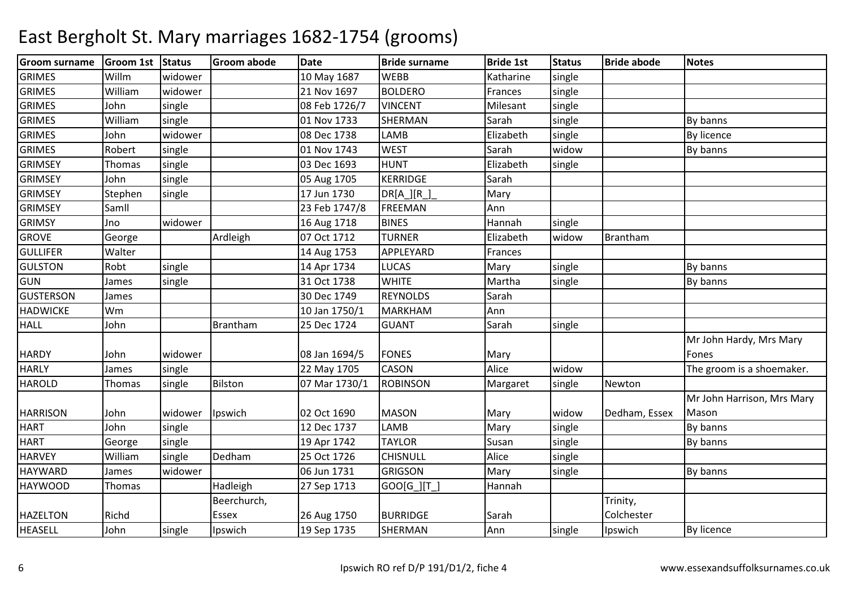| Willm<br><b>GRIMES</b><br>widower<br>Katharine<br>single<br>10 May 1687<br><b>WEBB</b><br><b>GRIMES</b><br>William<br><b>BOLDERO</b><br>Frances<br>widower<br>21 Nov 1697<br>single<br><b>GRIMES</b><br>John<br>08 Feb 1726/7<br><b>VINCENT</b><br>single<br>Milesant<br>single<br><b>GRIMES</b><br>William<br>01 Nov 1733<br><b>SHERMAN</b><br>By banns<br>single<br>Sarah<br>single<br><b>GRIMES</b><br>John<br>widower<br>08 Dec 1738<br>Elizabeth<br>single<br>By licence<br><b>LAMB</b><br><b>GRIMES</b><br>01 Nov 1743<br><b>WEST</b><br>Robert<br>single<br>Sarah<br>widow<br>By banns<br><b>GRIMSEY</b><br>03 Dec 1693<br><b>HUNT</b><br>Elizabeth<br>single<br>Thomas<br>single<br><b>GRIMSEY</b><br><b>KERRIDGE</b><br>Sarah<br>John<br>single<br>05 Aug 1705<br><b>GRIMSEY</b><br>17 Jun 1730<br>Stephen<br>single<br>$DR[A_{}] [R_{}]$<br>Mary<br><b>GRIMSEY</b><br>23 Feb 1747/8<br>Ann<br>Samll<br><b>FREEMAN</b><br><b>GRIMSY</b><br>widower<br><b>BINES</b><br>Hannah<br>Jno<br>16 Aug 1718<br>single<br><b>GROVE</b><br>Ardleigh<br>07 Oct 1712<br><b>TURNER</b><br>Elizabeth<br>Brantham<br>widow<br>George<br><b>GULLIFER</b><br>Walter<br>APPLEYARD<br>Frances<br>14 Aug 1753<br><b>GULSTON</b><br>Robt<br>single<br>14 Apr 1734<br><b>LUCAS</b><br>Mary<br>single<br>By banns<br>31 Oct 1738<br><b>WHITE</b><br>single<br>Martha<br>single<br>James<br>By banns<br><b>GUSTERSON</b><br>30 Dec 1749<br><b>REYNOLDS</b><br>Sarah<br>James<br>Ann<br><b>HADWICKE</b><br>Wm<br>10 Jan 1750/1<br><b>MARKHAM</b><br><b>HALL</b><br>25 Dec 1724<br>Sarah<br>John<br><b>Brantham</b><br><b>GUANT</b><br>single<br>Mr John Hardy, Mrs Mary<br><b>HARDY</b><br>John<br>08 Jan 1694/5<br><b>FONES</b><br>Fones<br>widower<br>Mary<br>widow<br>Alice<br><b>HARLY</b><br>single<br><b>CASON</b><br>22 May 1705<br>The groom is a shoemaker.<br>James<br><b>HAROLD</b><br>Bilston<br>07 Mar 1730/1<br><b>ROBINSON</b><br>Margaret<br>Newton<br>Thomas<br>single<br>single<br>Mr John Harrison, Mrs Mary<br><b>HARRISON</b><br>Ipswich<br><b>MASON</b><br>Dedham, Essex<br>Mason<br>John<br>02 Oct 1690<br>Mary<br>widow<br>widower<br>Mary<br><b>HART</b><br>John<br>single<br>12 Dec 1737<br>single<br>By banns<br><b>LAMB</b><br><b>HART</b><br>Susan<br>single<br>19 Apr 1742<br><b>TAYLOR</b><br>single<br>George<br>By banns<br>Alice<br><b>HARVEY</b><br>William<br>Dedham<br>25 Oct 1726<br><b>CHISNULL</b><br>single<br>single<br>HAYWARD<br>widower<br>06 Jun 1731<br><b>GRIGSON</b><br>Mary<br>James<br>single<br>By banns<br><b>HAYWOOD</b><br>Hadleigh<br>Hannah<br>Thomas<br>27 Sep 1713<br>$GOO[G_][T_$<br>Beerchurch,<br>Trinity,<br>Richd<br>Colchester<br><b>HAZELTON</b><br>Essex<br>26 Aug 1750<br><b>BURRIDGE</b><br>Sarah<br><b>HEASELL</b><br>John<br>19 Sep 1735<br>SHERMAN<br>Ann<br>single<br>Ipswich<br>single<br>Ipswich<br>By licence | <b>Groom surname</b> | Groom 1st Status | Groom abode | <b>Date</b> | <b>Bride surname</b> | <b>Bride 1st</b> | <b>Status</b> | <b>Bride abode</b> | <b>Notes</b> |
|--------------------------------------------------------------------------------------------------------------------------------------------------------------------------------------------------------------------------------------------------------------------------------------------------------------------------------------------------------------------------------------------------------------------------------------------------------------------------------------------------------------------------------------------------------------------------------------------------------------------------------------------------------------------------------------------------------------------------------------------------------------------------------------------------------------------------------------------------------------------------------------------------------------------------------------------------------------------------------------------------------------------------------------------------------------------------------------------------------------------------------------------------------------------------------------------------------------------------------------------------------------------------------------------------------------------------------------------------------------------------------------------------------------------------------------------------------------------------------------------------------------------------------------------------------------------------------------------------------------------------------------------------------------------------------------------------------------------------------------------------------------------------------------------------------------------------------------------------------------------------------------------------------------------------------------------------------------------------------------------------------------------------------------------------------------------------------------------------------------------------------------------------------------------------------------------------------------------------------------------------------------------------------------------------------------------------------------------------------------------------------------------------------------------------------------------------------------------------------------------------------------------------------------------------------------------------------------------------------------------------------------------------------------------------------------------------------------------------------------------------------------------------------------------------------------------------------------------------------------------------|----------------------|------------------|-------------|-------------|----------------------|------------------|---------------|--------------------|--------------|
| GUN                                                                                                                                                                                                                                                                                                                                                                                                                                                                                                                                                                                                                                                                                                                                                                                                                                                                                                                                                                                                                                                                                                                                                                                                                                                                                                                                                                                                                                                                                                                                                                                                                                                                                                                                                                                                                                                                                                                                                                                                                                                                                                                                                                                                                                                                                                                                                                                                                                                                                                                                                                                                                                                                                                                                                                                                                                                                      |                      |                  |             |             |                      |                  |               |                    |              |
|                                                                                                                                                                                                                                                                                                                                                                                                                                                                                                                                                                                                                                                                                                                                                                                                                                                                                                                                                                                                                                                                                                                                                                                                                                                                                                                                                                                                                                                                                                                                                                                                                                                                                                                                                                                                                                                                                                                                                                                                                                                                                                                                                                                                                                                                                                                                                                                                                                                                                                                                                                                                                                                                                                                                                                                                                                                                          |                      |                  |             |             |                      |                  |               |                    |              |
|                                                                                                                                                                                                                                                                                                                                                                                                                                                                                                                                                                                                                                                                                                                                                                                                                                                                                                                                                                                                                                                                                                                                                                                                                                                                                                                                                                                                                                                                                                                                                                                                                                                                                                                                                                                                                                                                                                                                                                                                                                                                                                                                                                                                                                                                                                                                                                                                                                                                                                                                                                                                                                                                                                                                                                                                                                                                          |                      |                  |             |             |                      |                  |               |                    |              |
|                                                                                                                                                                                                                                                                                                                                                                                                                                                                                                                                                                                                                                                                                                                                                                                                                                                                                                                                                                                                                                                                                                                                                                                                                                                                                                                                                                                                                                                                                                                                                                                                                                                                                                                                                                                                                                                                                                                                                                                                                                                                                                                                                                                                                                                                                                                                                                                                                                                                                                                                                                                                                                                                                                                                                                                                                                                                          |                      |                  |             |             |                      |                  |               |                    |              |
|                                                                                                                                                                                                                                                                                                                                                                                                                                                                                                                                                                                                                                                                                                                                                                                                                                                                                                                                                                                                                                                                                                                                                                                                                                                                                                                                                                                                                                                                                                                                                                                                                                                                                                                                                                                                                                                                                                                                                                                                                                                                                                                                                                                                                                                                                                                                                                                                                                                                                                                                                                                                                                                                                                                                                                                                                                                                          |                      |                  |             |             |                      |                  |               |                    |              |
|                                                                                                                                                                                                                                                                                                                                                                                                                                                                                                                                                                                                                                                                                                                                                                                                                                                                                                                                                                                                                                                                                                                                                                                                                                                                                                                                                                                                                                                                                                                                                                                                                                                                                                                                                                                                                                                                                                                                                                                                                                                                                                                                                                                                                                                                                                                                                                                                                                                                                                                                                                                                                                                                                                                                                                                                                                                                          |                      |                  |             |             |                      |                  |               |                    |              |
|                                                                                                                                                                                                                                                                                                                                                                                                                                                                                                                                                                                                                                                                                                                                                                                                                                                                                                                                                                                                                                                                                                                                                                                                                                                                                                                                                                                                                                                                                                                                                                                                                                                                                                                                                                                                                                                                                                                                                                                                                                                                                                                                                                                                                                                                                                                                                                                                                                                                                                                                                                                                                                                                                                                                                                                                                                                                          |                      |                  |             |             |                      |                  |               |                    |              |
|                                                                                                                                                                                                                                                                                                                                                                                                                                                                                                                                                                                                                                                                                                                                                                                                                                                                                                                                                                                                                                                                                                                                                                                                                                                                                                                                                                                                                                                                                                                                                                                                                                                                                                                                                                                                                                                                                                                                                                                                                                                                                                                                                                                                                                                                                                                                                                                                                                                                                                                                                                                                                                                                                                                                                                                                                                                                          |                      |                  |             |             |                      |                  |               |                    |              |
|                                                                                                                                                                                                                                                                                                                                                                                                                                                                                                                                                                                                                                                                                                                                                                                                                                                                                                                                                                                                                                                                                                                                                                                                                                                                                                                                                                                                                                                                                                                                                                                                                                                                                                                                                                                                                                                                                                                                                                                                                                                                                                                                                                                                                                                                                                                                                                                                                                                                                                                                                                                                                                                                                                                                                                                                                                                                          |                      |                  |             |             |                      |                  |               |                    |              |
|                                                                                                                                                                                                                                                                                                                                                                                                                                                                                                                                                                                                                                                                                                                                                                                                                                                                                                                                                                                                                                                                                                                                                                                                                                                                                                                                                                                                                                                                                                                                                                                                                                                                                                                                                                                                                                                                                                                                                                                                                                                                                                                                                                                                                                                                                                                                                                                                                                                                                                                                                                                                                                                                                                                                                                                                                                                                          |                      |                  |             |             |                      |                  |               |                    |              |
|                                                                                                                                                                                                                                                                                                                                                                                                                                                                                                                                                                                                                                                                                                                                                                                                                                                                                                                                                                                                                                                                                                                                                                                                                                                                                                                                                                                                                                                                                                                                                                                                                                                                                                                                                                                                                                                                                                                                                                                                                                                                                                                                                                                                                                                                                                                                                                                                                                                                                                                                                                                                                                                                                                                                                                                                                                                                          |                      |                  |             |             |                      |                  |               |                    |              |
|                                                                                                                                                                                                                                                                                                                                                                                                                                                                                                                                                                                                                                                                                                                                                                                                                                                                                                                                                                                                                                                                                                                                                                                                                                                                                                                                                                                                                                                                                                                                                                                                                                                                                                                                                                                                                                                                                                                                                                                                                                                                                                                                                                                                                                                                                                                                                                                                                                                                                                                                                                                                                                                                                                                                                                                                                                                                          |                      |                  |             |             |                      |                  |               |                    |              |
|                                                                                                                                                                                                                                                                                                                                                                                                                                                                                                                                                                                                                                                                                                                                                                                                                                                                                                                                                                                                                                                                                                                                                                                                                                                                                                                                                                                                                                                                                                                                                                                                                                                                                                                                                                                                                                                                                                                                                                                                                                                                                                                                                                                                                                                                                                                                                                                                                                                                                                                                                                                                                                                                                                                                                                                                                                                                          |                      |                  |             |             |                      |                  |               |                    |              |
|                                                                                                                                                                                                                                                                                                                                                                                                                                                                                                                                                                                                                                                                                                                                                                                                                                                                                                                                                                                                                                                                                                                                                                                                                                                                                                                                                                                                                                                                                                                                                                                                                                                                                                                                                                                                                                                                                                                                                                                                                                                                                                                                                                                                                                                                                                                                                                                                                                                                                                                                                                                                                                                                                                                                                                                                                                                                          |                      |                  |             |             |                      |                  |               |                    |              |
|                                                                                                                                                                                                                                                                                                                                                                                                                                                                                                                                                                                                                                                                                                                                                                                                                                                                                                                                                                                                                                                                                                                                                                                                                                                                                                                                                                                                                                                                                                                                                                                                                                                                                                                                                                                                                                                                                                                                                                                                                                                                                                                                                                                                                                                                                                                                                                                                                                                                                                                                                                                                                                                                                                                                                                                                                                                                          |                      |                  |             |             |                      |                  |               |                    |              |
|                                                                                                                                                                                                                                                                                                                                                                                                                                                                                                                                                                                                                                                                                                                                                                                                                                                                                                                                                                                                                                                                                                                                                                                                                                                                                                                                                                                                                                                                                                                                                                                                                                                                                                                                                                                                                                                                                                                                                                                                                                                                                                                                                                                                                                                                                                                                                                                                                                                                                                                                                                                                                                                                                                                                                                                                                                                                          |                      |                  |             |             |                      |                  |               |                    |              |
|                                                                                                                                                                                                                                                                                                                                                                                                                                                                                                                                                                                                                                                                                                                                                                                                                                                                                                                                                                                                                                                                                                                                                                                                                                                                                                                                                                                                                                                                                                                                                                                                                                                                                                                                                                                                                                                                                                                                                                                                                                                                                                                                                                                                                                                                                                                                                                                                                                                                                                                                                                                                                                                                                                                                                                                                                                                                          |                      |                  |             |             |                      |                  |               |                    |              |
|                                                                                                                                                                                                                                                                                                                                                                                                                                                                                                                                                                                                                                                                                                                                                                                                                                                                                                                                                                                                                                                                                                                                                                                                                                                                                                                                                                                                                                                                                                                                                                                                                                                                                                                                                                                                                                                                                                                                                                                                                                                                                                                                                                                                                                                                                                                                                                                                                                                                                                                                                                                                                                                                                                                                                                                                                                                                          |                      |                  |             |             |                      |                  |               |                    |              |
|                                                                                                                                                                                                                                                                                                                                                                                                                                                                                                                                                                                                                                                                                                                                                                                                                                                                                                                                                                                                                                                                                                                                                                                                                                                                                                                                                                                                                                                                                                                                                                                                                                                                                                                                                                                                                                                                                                                                                                                                                                                                                                                                                                                                                                                                                                                                                                                                                                                                                                                                                                                                                                                                                                                                                                                                                                                                          |                      |                  |             |             |                      |                  |               |                    |              |
|                                                                                                                                                                                                                                                                                                                                                                                                                                                                                                                                                                                                                                                                                                                                                                                                                                                                                                                                                                                                                                                                                                                                                                                                                                                                                                                                                                                                                                                                                                                                                                                                                                                                                                                                                                                                                                                                                                                                                                                                                                                                                                                                                                                                                                                                                                                                                                                                                                                                                                                                                                                                                                                                                                                                                                                                                                                                          |                      |                  |             |             |                      |                  |               |                    |              |
|                                                                                                                                                                                                                                                                                                                                                                                                                                                                                                                                                                                                                                                                                                                                                                                                                                                                                                                                                                                                                                                                                                                                                                                                                                                                                                                                                                                                                                                                                                                                                                                                                                                                                                                                                                                                                                                                                                                                                                                                                                                                                                                                                                                                                                                                                                                                                                                                                                                                                                                                                                                                                                                                                                                                                                                                                                                                          |                      |                  |             |             |                      |                  |               |                    |              |
|                                                                                                                                                                                                                                                                                                                                                                                                                                                                                                                                                                                                                                                                                                                                                                                                                                                                                                                                                                                                                                                                                                                                                                                                                                                                                                                                                                                                                                                                                                                                                                                                                                                                                                                                                                                                                                                                                                                                                                                                                                                                                                                                                                                                                                                                                                                                                                                                                                                                                                                                                                                                                                                                                                                                                                                                                                                                          |                      |                  |             |             |                      |                  |               |                    |              |
|                                                                                                                                                                                                                                                                                                                                                                                                                                                                                                                                                                                                                                                                                                                                                                                                                                                                                                                                                                                                                                                                                                                                                                                                                                                                                                                                                                                                                                                                                                                                                                                                                                                                                                                                                                                                                                                                                                                                                                                                                                                                                                                                                                                                                                                                                                                                                                                                                                                                                                                                                                                                                                                                                                                                                                                                                                                                          |                      |                  |             |             |                      |                  |               |                    |              |
|                                                                                                                                                                                                                                                                                                                                                                                                                                                                                                                                                                                                                                                                                                                                                                                                                                                                                                                                                                                                                                                                                                                                                                                                                                                                                                                                                                                                                                                                                                                                                                                                                                                                                                                                                                                                                                                                                                                                                                                                                                                                                                                                                                                                                                                                                                                                                                                                                                                                                                                                                                                                                                                                                                                                                                                                                                                                          |                      |                  |             |             |                      |                  |               |                    |              |
|                                                                                                                                                                                                                                                                                                                                                                                                                                                                                                                                                                                                                                                                                                                                                                                                                                                                                                                                                                                                                                                                                                                                                                                                                                                                                                                                                                                                                                                                                                                                                                                                                                                                                                                                                                                                                                                                                                                                                                                                                                                                                                                                                                                                                                                                                                                                                                                                                                                                                                                                                                                                                                                                                                                                                                                                                                                                          |                      |                  |             |             |                      |                  |               |                    |              |
|                                                                                                                                                                                                                                                                                                                                                                                                                                                                                                                                                                                                                                                                                                                                                                                                                                                                                                                                                                                                                                                                                                                                                                                                                                                                                                                                                                                                                                                                                                                                                                                                                                                                                                                                                                                                                                                                                                                                                                                                                                                                                                                                                                                                                                                                                                                                                                                                                                                                                                                                                                                                                                                                                                                                                                                                                                                                          |                      |                  |             |             |                      |                  |               |                    |              |
|                                                                                                                                                                                                                                                                                                                                                                                                                                                                                                                                                                                                                                                                                                                                                                                                                                                                                                                                                                                                                                                                                                                                                                                                                                                                                                                                                                                                                                                                                                                                                                                                                                                                                                                                                                                                                                                                                                                                                                                                                                                                                                                                                                                                                                                                                                                                                                                                                                                                                                                                                                                                                                                                                                                                                                                                                                                                          |                      |                  |             |             |                      |                  |               |                    |              |
|                                                                                                                                                                                                                                                                                                                                                                                                                                                                                                                                                                                                                                                                                                                                                                                                                                                                                                                                                                                                                                                                                                                                                                                                                                                                                                                                                                                                                                                                                                                                                                                                                                                                                                                                                                                                                                                                                                                                                                                                                                                                                                                                                                                                                                                                                                                                                                                                                                                                                                                                                                                                                                                                                                                                                                                                                                                                          |                      |                  |             |             |                      |                  |               |                    |              |
|                                                                                                                                                                                                                                                                                                                                                                                                                                                                                                                                                                                                                                                                                                                                                                                                                                                                                                                                                                                                                                                                                                                                                                                                                                                                                                                                                                                                                                                                                                                                                                                                                                                                                                                                                                                                                                                                                                                                                                                                                                                                                                                                                                                                                                                                                                                                                                                                                                                                                                                                                                                                                                                                                                                                                                                                                                                                          |                      |                  |             |             |                      |                  |               |                    |              |
|                                                                                                                                                                                                                                                                                                                                                                                                                                                                                                                                                                                                                                                                                                                                                                                                                                                                                                                                                                                                                                                                                                                                                                                                                                                                                                                                                                                                                                                                                                                                                                                                                                                                                                                                                                                                                                                                                                                                                                                                                                                                                                                                                                                                                                                                                                                                                                                                                                                                                                                                                                                                                                                                                                                                                                                                                                                                          |                      |                  |             |             |                      |                  |               |                    |              |
|                                                                                                                                                                                                                                                                                                                                                                                                                                                                                                                                                                                                                                                                                                                                                                                                                                                                                                                                                                                                                                                                                                                                                                                                                                                                                                                                                                                                                                                                                                                                                                                                                                                                                                                                                                                                                                                                                                                                                                                                                                                                                                                                                                                                                                                                                                                                                                                                                                                                                                                                                                                                                                                                                                                                                                                                                                                                          |                      |                  |             |             |                      |                  |               |                    |              |
|                                                                                                                                                                                                                                                                                                                                                                                                                                                                                                                                                                                                                                                                                                                                                                                                                                                                                                                                                                                                                                                                                                                                                                                                                                                                                                                                                                                                                                                                                                                                                                                                                                                                                                                                                                                                                                                                                                                                                                                                                                                                                                                                                                                                                                                                                                                                                                                                                                                                                                                                                                                                                                                                                                                                                                                                                                                                          |                      |                  |             |             |                      |                  |               |                    |              |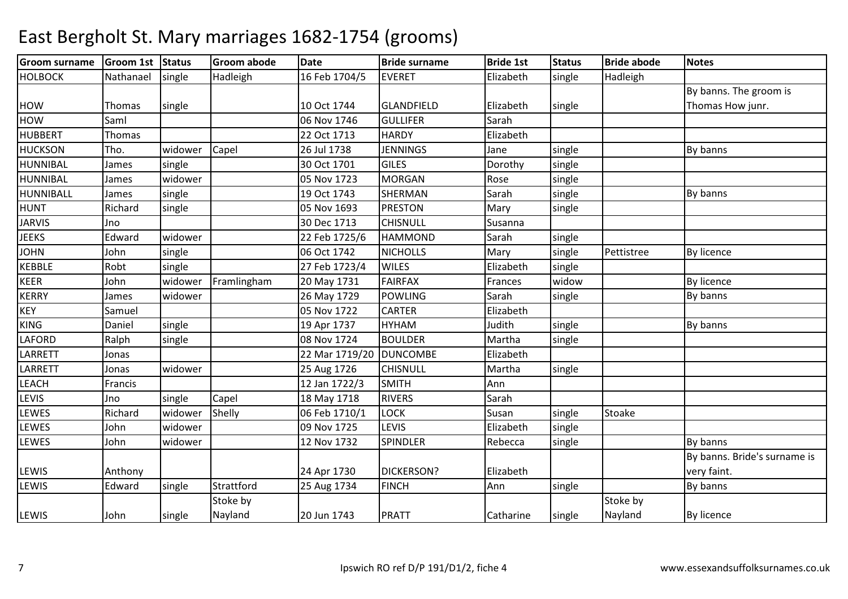#### Groom surnamee |Groom 1st |Status | Groom abode | Date | Bride surname | Bride 1st | Status | Bride abode | Notes HOLBOCK K Nathanael single Hadleigh 16 Feb 1704/5 EVERET Flizabeth single Hadleigh HOW Thomas single 10 Oct 1744 GLANDFIELD Elizabeth singleBy banns. The groom is Thomas How junr.**HOW**  Saml 06 Nov 1746 GULLIFER Sarah **HUBBERT** T Thomas 22 Oct 1713 22 Oct 1713 HARDY Elizabeth<br>26 Jul 1738 JENNINGS Jane **HUCKSON** N Tho. widower Capel 26 Jul 1738 JENNINGS Jane single By banns HUNNIBALJames single 30 Oct 17011 GILES Dorothy single HUNNIBALJames Widower 1 05 Nov 1723 MORGANN Rose single HUNNIBALLJames Isingle 19 Oct 1743**SHERMAN** N Sarah single By banns HUNT Richardsingle 105 Nov 1693 PRESTON<br>30 Dec 1713 CHISNULL N Mary single JARVIS Jno0 30 Dec 1713 CHISNULL Susanna JEEKS Edwardwidower 22 Feb 1725/6 HAMMOND<br>single 06 Oct 1742 NICHOLLS Sarah single<br>Mary single JOHNN 100hn single 106 Oct 1742 NICHOLLS Mary single Pettistree By licence KEBBLERobt single 27 Feb 1723/4WILES **Elizabeth**  single KEER John widower Framlinghamm 20 May 1731 FAIRFAX Frances widow By licence KERRYJames Widower | 26 May 1729 POWLINGG Sarah single By banns KEYSamuel | 1 CARTER Elizabeth KINGG **Daniel Single 19 Apr 1737 HYHAM**  Judith single By banns LAFORDD Ralph single 08 Nov 1724 BOULDER Martha single LARRETT Jonas 22 Mar 1719/20 DUNCOMBE ElizabethLARRETTJonas widower 25 Aug 1726<br>Francis 12 Jan 1722/3 CHISNULL Martha Single<br>SMITH Ann LEACHH Francis | 12 Jan 1722/3 SMITH Ann LEVIS Jnosingle Capel 18 May 1718 RIVERS Sarah<br>
18 May 1718 RIVERS Sarah<br>
196 Feb 1710/1 LOCK Susan **LEWES**  Richard widower Shelly 06 Feb 1710/1 LOCK Susan single Stoake LEWES Johnn widower 09 Nov 1725 LEVIS Elizabeth single LEWES Johnwidower | 12 Nov 1732 SPINDLER R Rebecca single By banns LEWIS Anthony 24 Apr 1730 DICKERSON? ElizabethBy banns. Bride's surname is very faint.LEWIS Edwardsingle Strattford 125 Aug 1734 FINCH H Ann Single By banns LEWIS John single Stoke by Nayland20 Jun 1743 | PRATT | Catharine | single Stoke by Nayland By licence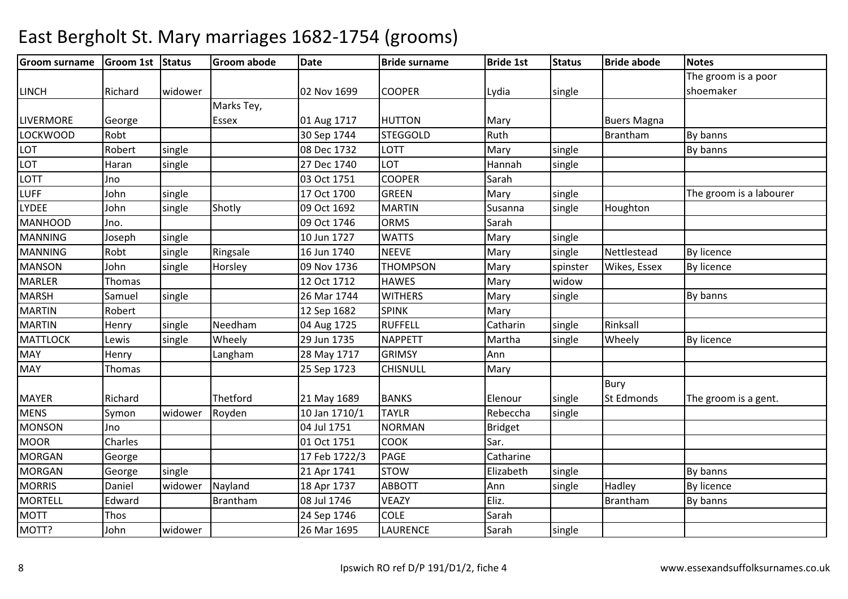| <b>Groom surname</b> | Groom 1st Status |         | <b>Groom abode</b> | <b>Date</b>   | <b>Bride surname</b> | <b>Bride 1st</b> | <b>Status</b> | <b>Bride abode</b> | <b>Notes</b>            |
|----------------------|------------------|---------|--------------------|---------------|----------------------|------------------|---------------|--------------------|-------------------------|
|                      |                  |         |                    |               |                      |                  |               |                    | The groom is a poor     |
| <b>LINCH</b>         | Richard          | widower |                    | 02 Nov 1699   | <b>COOPER</b>        | Lydia            | single        |                    | shoemaker               |
|                      |                  |         | Marks Tey,         |               |                      |                  |               |                    |                         |
| <b>LIVERMORE</b>     | George           |         | Essex              | 01 Aug 1717   | <b>HUTTON</b>        | Mary             |               | <b>Buers Magna</b> |                         |
| LOCKWOOD             | Robt             |         |                    | 30 Sep 1744   | <b>STEGGOLD</b>      | Ruth             |               | Brantham           | By banns                |
| <b>LOT</b>           | Robert           | single  |                    | 08 Dec 1732   | <b>LOTT</b>          | Mary             | single        |                    | By banns                |
| <b>LOT</b>           | Haran            | single  |                    | 27 Dec 1740   | LOT                  | Hannah           | single        |                    |                         |
| LOTT                 | Jno              |         |                    | 03 Oct 1751   | <b>COOPER</b>        | Sarah            |               |                    |                         |
| <b>LUFF</b>          | John             | single  |                    | 17 Oct 1700   | <b>GREEN</b>         | Mary             | single        |                    | The groom is a labourer |
| <b>LYDEE</b>         | John             | single  | Shotly             | 09 Oct 1692   | <b>MARTIN</b>        | Susanna          | single        | Houghton           |                         |
| <b>MANHOOD</b>       | Jno.             |         |                    | 09 Oct 1746   | <b>ORMS</b>          | Sarah            |               |                    |                         |
| <b>MANNING</b>       | Joseph           | single  |                    | 10 Jun 1727   | <b>WATTS</b>         | Mary             | single        |                    |                         |
| <b>MANNING</b>       | Robt             | single  | Ringsale           | 16 Jun 1740   | <b>NEEVE</b>         | Mary             | single        | Nettlestead        | By licence              |
| <b>MANSON</b>        | John             | single  | Horsley            | 09 Nov 1736   | <b>THOMPSON</b>      | Mary             | spinster      | Wikes, Essex       | By licence              |
| <b>MARLER</b>        | Thomas           |         |                    | 12 Oct 1712   | <b>HAWES</b>         | Mary             | widow         |                    |                         |
| <b>MARSH</b>         | Samuel           | single  |                    | 26 Mar 1744   | <b>WITHERS</b>       | Mary             | single        |                    | By banns                |
| <b>MARTIN</b>        | Robert           |         |                    | 12 Sep 1682   | <b>SPINK</b>         | Mary             |               |                    |                         |
| <b>MARTIN</b>        | Henry            | single  | Needham            | 04 Aug 1725   | <b>RUFFELL</b>       | Catharin         | single        | Rinksall           |                         |
| <b>MATTLOCK</b>      | Lewis            | single  | Wheely             | 29 Jun 1735   | <b>NAPPETT</b>       | Martha           | single        | Wheely             | By licence              |
| <b>MAY</b>           | Henry            |         | Langham            | 28 May 1717   | <b>GRIMSY</b>        | Ann              |               |                    |                         |
| <b>MAY</b>           | Thomas           |         |                    | 25 Sep 1723   | <b>CHISNULL</b>      | Mary             |               |                    |                         |
|                      |                  |         |                    |               |                      |                  |               | <b>Bury</b>        |                         |
| <b>MAYER</b>         | Richard          |         | Thetford           | 21 May 1689   | <b>BANKS</b>         | Elenour          | single        | St Edmonds         | The groom is a gent.    |
| <b>MENS</b>          | Symon            | widower | Royden             | 10 Jan 1710/1 | <b>TAYLR</b>         | Rebeccha         | single        |                    |                         |
| <b>MONSON</b>        | Jno              |         |                    | 04 Jul 1751   | <b>NORMAN</b>        | <b>Bridget</b>   |               |                    |                         |
| <b>MOOR</b>          | Charles          |         |                    | 01 Oct 1751   | <b>COOK</b>          | Sar.             |               |                    |                         |
| <b>MORGAN</b>        | George           |         |                    | 17 Feb 1722/3 | <b>PAGE</b>          | Catharine        |               |                    |                         |
| <b>MORGAN</b>        | George           | single  |                    | 21 Apr 1741   | <b>STOW</b>          | Elizabeth        | single        |                    | By banns                |
| <b>MORRIS</b>        | Daniel           | widower | Nayland            | 18 Apr 1737   | <b>ABBOTT</b>        | Ann              | single        | Hadley             | By licence              |
| <b>MORTELL</b>       | Edward           |         | Brantham           | 08 Jul 1746   | <b>VEAZY</b>         | Eliz.            |               | Brantham           | By banns                |
| <b>MOTT</b>          | Thos             |         |                    | 24 Sep 1746   | <b>COLE</b>          | Sarah            |               |                    |                         |
| MOTT?                | John             | widower |                    | 26 Mar 1695   | <b>LAURENCE</b>      | Sarah            | single        |                    |                         |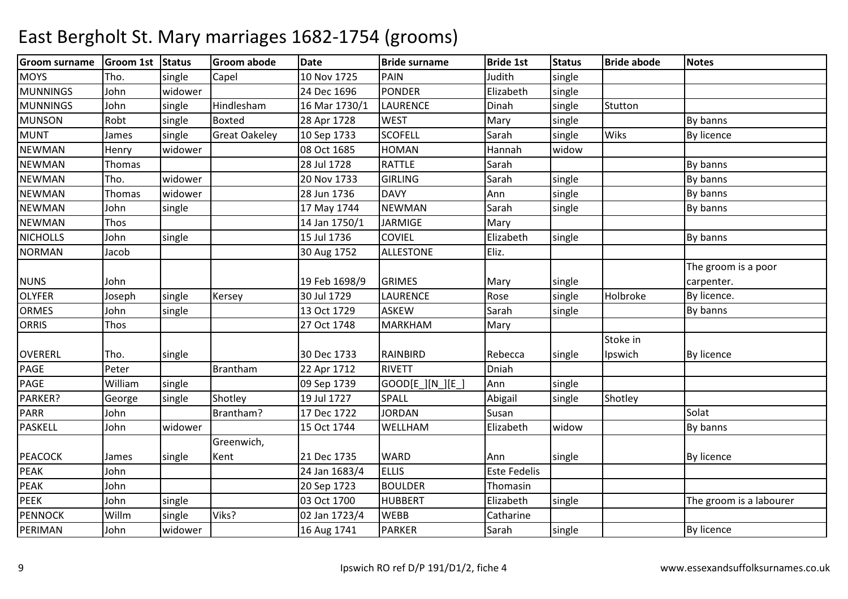#### Groom surnamee |Groom 1st |Status | Groom abode | Date | Bride surname | Bride 1st | Status | Bride abode | Notes **MOYS** Tho. single Capel 10 Nov 1725PAIN<br>PONDER N Judith single **MUNNINGS**  Johnwidower 24 Dec 1696 PONDER<br>
single Hindlesham 16 Mar 1730/1 LAURENCE Elizabeth Single MUNNINGS Johnsingle Hindlesham m 16 Mar 1730/1 LAURENCE Dinah single Stutton **MUNSON** N Robt single Boxted 28 Apr 1728 WEST Mary single By banns MUNTJames single Great Oakeley 10 Sep 1733<br>08 Oct 1685 SCOFELL Sarah<br>HOMAN Hanna single Wiks By licence NEWMANN Henry widower 08 Oct 1685 HOMAN Hannah widow NEWMANN Thomas 28 Jul 1728 RATTLE Sarah By banns NEWMANN Tho. widower 20 Nov 1733 GIRLING Sarah single By banns NEWMANN Thomas widower 28 Jun 1736 DAVY Ann single By banns NEWMANN John single 17 May 1744 NEWMAN Sarah single By banns NEWMANN Thos 14 Jan 1750/1 JARMIGE Mary **NICHOLLS**  Johnn single 15 Jul 1736 COVIEL Elizabeth single 15 By banns NORMANN Jacob 10. 30 Aug 1752 ALLESTONE Eliz. NUNS John 1 19 Feb 1698/9 GRIMES Mary single single The groom is a poor carpenter.**OLYFER** R 1990 and Disingle Kersey 130 Jul 1729 LAURENCE Rose single Holbroke By licence. ORMES JohnSingle 23 Oct 1729 ASKEW<br>Thos 127 Oct 1748 MARKE Sarah single By banns ORRIS27 Oct 1748 MARKHAM Mary OVERERL Tho. Single 1 30 Dec 1733 RAINBIRD Rebecca Single Stoke in Ipswich By licencePAGEPeter | Brantham 22 Apr 1712 RIVETT Dniah<br>09 Sep 1739 GOOD[E ][N ][E ] Ann PAGE Williamm | single | 09 Sep 1739 | GOOD[E\_][N\_][E\_] Ann | single single PARKER? Georgesingle Shotley 19 Jul 1727<br>Rrantham? 17 Dec 1722 7 SPALL Abigail single Shotley PARRR John Brantham? 17 Dec 1722 JORDAN N Susan Susan Solat PASKELL Johnwidower | 15 Oct 1744 WELLHAM M Elizabeth widow By banns PEACOCK James single Greenwich, Kent21 Dec 1735 WARD Ann Single By licence PEAKK John 1683/4 ELLIS Este Fedelis PEAK John 20 Sep 1723 BOULDERBOULDER Thomasin<br>HUBBERT Elizabeth PEEKK 1990 | John Single 1990 | 1700 | HUBBERT | Elizabeth | single 1991 | The groom is a labourer PENNOCK Willmm | single | Viks? | 02 Jan 1723/4 | WEBB | Catharine PERIMANN |John |widower | 16 Aug 1741 |PARKER | Sarah |single | By licence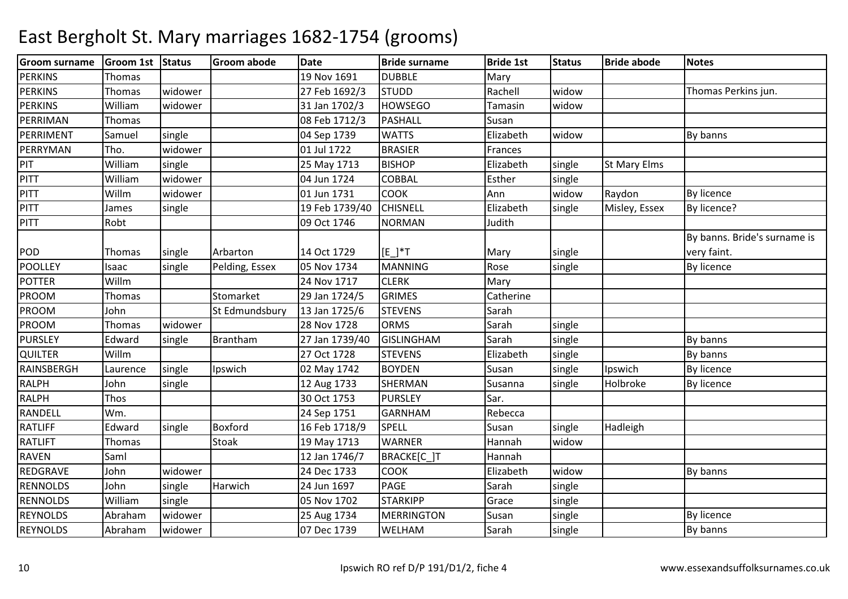| <b>Groom surname</b> | Groom 1st Status |         | Groom abode     | <b>Date</b>    | <b>Bride surname</b> | <b>Bride 1st</b> | <b>Status</b> | <b>Bride abode</b>  | <b>Notes</b>                 |
|----------------------|------------------|---------|-----------------|----------------|----------------------|------------------|---------------|---------------------|------------------------------|
| <b>PERKINS</b>       | Thomas           |         |                 | 19 Nov 1691    | <b>DUBBLE</b>        | Mary             |               |                     |                              |
| <b>PERKINS</b>       | Thomas           | widower |                 | 27 Feb 1692/3  | <b>STUDD</b>         | Rachell          | widow         |                     | Thomas Perkins jun.          |
| <b>PERKINS</b>       | William          | widower |                 | 31 Jan 1702/3  | <b>HOWSEGO</b>       | Tamasin          | widow         |                     |                              |
| PERRIMAN             | Thomas           |         |                 | 08 Feb 1712/3  | <b>PASHALL</b>       | Susan            |               |                     |                              |
| PERRIMENT            | Samuel           | single  |                 | 04 Sep 1739    | <b>WATTS</b>         | Elizabeth        | widow         |                     | By banns                     |
| PERRYMAN             | Tho.             | widower |                 | 01 Jul 1722    | <b>BRASIER</b>       | Frances          |               |                     |                              |
| PIT                  | William          | single  |                 | 25 May 1713    | <b>BISHOP</b>        | Elizabeth        | single        | <b>St Mary Elms</b> |                              |
| <b>PITT</b>          | William          | widower |                 | 04 Jun 1724    | <b>COBBAL</b>        | Esther           | single        |                     |                              |
| <b>PITT</b>          | Willm            | widower |                 | 01 Jun 1731    | <b>COOK</b>          | Ann              | widow         | Raydon              | <b>By licence</b>            |
| <b>PITT</b>          | James            | single  |                 | 19 Feb 1739/40 | <b>CHISNELL</b>      | Elizabeth        | single        | Misley, Essex       | By licence?                  |
| <b>PITT</b>          | Robt             |         |                 | 09 Oct 1746    | <b>NORMAN</b>        | Judith           |               |                     |                              |
|                      |                  |         |                 |                |                      |                  |               |                     | By banns. Bride's surname is |
| POD                  | Thomas           | single  | Arbarton        | 14 Oct 1729    | $[E]^{*}T$           | Mary             | single        |                     | very faint.                  |
| <b>POOLLEY</b>       | Isaac            | single  | Pelding, Essex  | 05 Nov 1734    | <b>MANNING</b>       | Rose             | single        |                     | <b>By licence</b>            |
| <b>POTTER</b>        | Willm            |         |                 | 24 Nov 1717    | <b>CLERK</b>         | Mary             |               |                     |                              |
| PROOM                | Thomas           |         | Stomarket       | 29 Jan 1724/5  | <b>GRIMES</b>        | Catherine        |               |                     |                              |
| PROOM                | John             |         | St Edmundsbury  | 13 Jan 1725/6  | <b>STEVENS</b>       | Sarah            |               |                     |                              |
| PROOM                | Thomas           | widower |                 | 28 Nov 1728    | <b>ORMS</b>          | Sarah            | single        |                     |                              |
| <b>PURSLEY</b>       | Edward           | single  | <b>Brantham</b> | 27 Jan 1739/40 | <b>GISLINGHAM</b>    | Sarah            | single        |                     | By banns                     |
| <b>QUILTER</b>       | Willm            |         |                 | 27 Oct 1728    | <b>STEVENS</b>       | Elizabeth        | single        |                     | By banns                     |
| RAINSBERGH           | Laurence         | single  | Ipswich         | 02 May 1742    | <b>BOYDEN</b>        | Susan            | single        | Ipswich             | <b>By licence</b>            |
| <b>RALPH</b>         | John             | single  |                 | 12 Aug 1733    | SHERMAN              | Susanna          | single        | Holbroke            | <b>By licence</b>            |
| <b>RALPH</b>         | Thos             |         |                 | 30 Oct 1753    | <b>PURSLEY</b>       | Sar.             |               |                     |                              |
| RANDELL              | Wm.              |         |                 | 24 Sep 1751    | <b>GARNHAM</b>       | Rebecca          |               |                     |                              |
| <b>RATLIFF</b>       | Edward           | single  | Boxford         | 16 Feb 1718/9  | <b>SPELL</b>         | Susan            | single        | Hadleigh            |                              |
| <b>RATLIFT</b>       | Thomas           |         | Stoak           | 19 May 1713    | <b>WARNER</b>        | Hannah           | widow         |                     |                              |
| <b>RAVEN</b>         | Saml             |         |                 | 12 Jan 1746/7  | BRACKE[C_]T          | Hannah           |               |                     |                              |
| REDGRAVE             | John             | widower |                 | 24 Dec 1733    | <b>COOK</b>          | Elizabeth        | widow         |                     | By banns                     |
| <b>RENNOLDS</b>      | John             | single  | Harwich         | 24 Jun 1697    | <b>PAGE</b>          | Sarah            | single        |                     |                              |
| <b>RENNOLDS</b>      | William          | single  |                 | 05 Nov 1702    | <b>STARKIPP</b>      | Grace            | single        |                     |                              |
| <b>REYNOLDS</b>      | Abraham          | widower |                 | 25 Aug 1734    | <b>MERRINGTON</b>    | Susan            | single        |                     | <b>By licence</b>            |
| <b>REYNOLDS</b>      | Abraham          | widower |                 | 07 Dec 1739    | WELHAM               | Sarah            | single        |                     | By banns                     |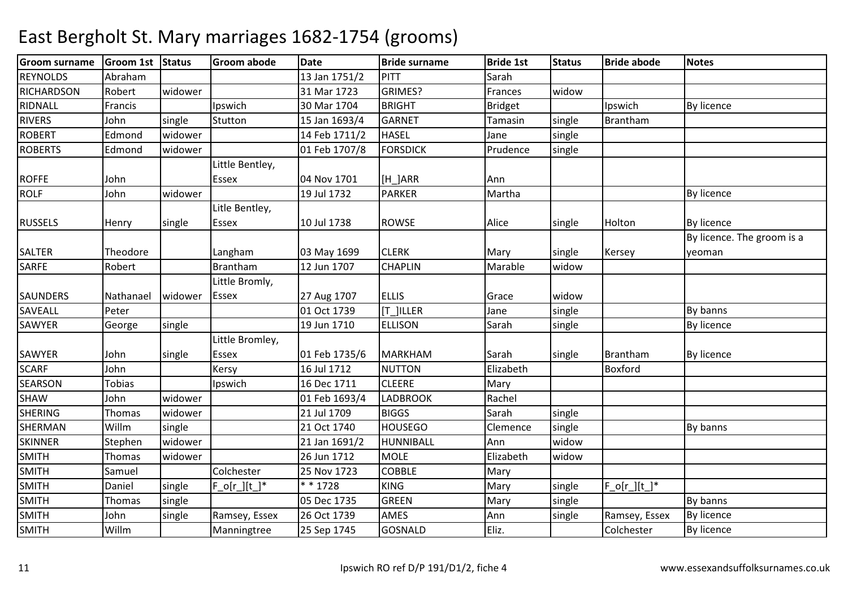| <b>Groom surname</b> | Groom 1st Status |         | <b>Groom abode</b> | <b>Date</b>   | <b>Bride surname</b> | <b>Bride 1st</b> | <b>Status</b> | <b>Bride abode</b>   | <b>Notes</b>               |
|----------------------|------------------|---------|--------------------|---------------|----------------------|------------------|---------------|----------------------|----------------------------|
| <b>REYNOLDS</b>      | Abraham          |         |                    | 13 Jan 1751/2 | PITT                 | Sarah            |               |                      |                            |
| <b>RICHARDSON</b>    | Robert           | widower |                    | 31 Mar 1723   | GRIMES?              | Frances          | widow         |                      |                            |
| RIDNALL              | Francis          |         | Ipswich            | 30 Mar 1704   | <b>BRIGHT</b>        | <b>Bridget</b>   |               | Ipswich              | <b>By licence</b>          |
| <b>RIVERS</b>        | John             | single  | Stutton            | 15 Jan 1693/4 | <b>GARNET</b>        | Tamasin          | single        | Brantham             |                            |
| <b>ROBERT</b>        | Edmond           | widower |                    | 14 Feb 1711/2 | <b>HASEL</b>         | Jane             | single        |                      |                            |
| <b>ROBERTS</b>       | Edmond           | widower |                    | 01 Feb 1707/8 | <b>FORSDICK</b>      | Prudence         | single        |                      |                            |
|                      |                  |         | Little Bentley,    |               |                      |                  |               |                      |                            |
| <b>ROFFE</b>         | John             |         | Essex              | 04 Nov 1701   | [H_]ARR              | Ann              |               |                      |                            |
| <b>ROLF</b>          | John             | widower |                    | 19 Jul 1732   | <b>PARKER</b>        | Martha           |               |                      | <b>By licence</b>          |
|                      |                  |         | Litle Bentley,     |               |                      |                  |               |                      |                            |
| <b>RUSSELS</b>       | Henry            | single  | <b>Essex</b>       | 10 Jul 1738   | <b>ROWSE</b>         | Alice            | single        | Holton               | <b>By licence</b>          |
|                      |                  |         |                    |               |                      |                  |               |                      | By licence. The groom is a |
| <b>SALTER</b>        | Theodore         |         | Langham            | 03 May 1699   | <b>CLERK</b>         | Mary             | single        | Kersey               | yeoman                     |
| <b>SARFE</b>         | Robert           |         | Brantham           | 12 Jun 1707   | <b>CHAPLIN</b>       | Marable          | widow         |                      |                            |
|                      |                  |         | Little Bromly,     |               |                      |                  |               |                      |                            |
| <b>SAUNDERS</b>      | Nathanael        | widower | <b>Essex</b>       | 27 Aug 1707   | <b>ELLIS</b>         | Grace            | widow         |                      |                            |
| SAVEALL              | Peter            |         |                    | 01 Oct 1739   | [T ]ILLER            | Jane             | single        |                      | By banns                   |
| SAWYER               | George           | single  |                    | 19 Jun 1710   | <b>ELLISON</b>       | Sarah            | single        |                      | <b>By licence</b>          |
|                      |                  |         | Little Bromley,    |               |                      |                  |               |                      |                            |
| SAWYER               | John             | single  | Essex              | 01 Feb 1735/6 | <b>MARKHAM</b>       | Sarah            | single        | Brantham             | By licence                 |
| <b>SCARF</b>         | John             |         | Kersy              | 16 Jul 1712   | <b>NUTTON</b>        | Elizabeth        |               | Boxford              |                            |
| SEARSON              | Tobias           |         | Ipswich            | 16 Dec 1711   | <b>CLEERE</b>        | Mary             |               |                      |                            |
| <b>SHAW</b>          | John             | widower |                    | 01 Feb 1693/4 | <b>LADBROOK</b>      | Rachel           |               |                      |                            |
| <b>SHERING</b>       | Thomas           | widower |                    | 21 Jul 1709   | <b>BIGGS</b>         | Sarah            | single        |                      |                            |
| SHERMAN              | Willm            | single  |                    | 21 Oct 1740   | <b>HOUSEGO</b>       | Clemence         | single        |                      | By banns                   |
| <b>SKINNER</b>       | Stephen          | widower |                    | 21 Jan 1691/2 | HUNNIBALL            | Ann              | widow         |                      |                            |
| <b>SMITH</b>         | Thomas           | widower |                    | 26 Jun 1712   | <b>MOLE</b>          | Elizabeth        | widow         |                      |                            |
| <b>SMITH</b>         | Samuel           |         | Colchester         | 25 Nov 1723   | <b>COBBLE</b>        | Mary             |               |                      |                            |
| <b>SMITH</b>         | Daniel           | single  | $F_o[r][t']^*$     | * * 1728      | <b>KING</b>          | Mary             | single        | $F_o[r_{i}][t_{i}]*$ |                            |
| <b>SMITH</b>         | Thomas           | single  |                    | 05 Dec 1735   | <b>GREEN</b>         | Mary             | single        |                      | By banns                   |
| <b>SMITH</b>         | John             | single  | Ramsey, Essex      | 26 Oct 1739   | <b>AMES</b>          | Ann              | single        | Ramsey, Essex        | <b>By licence</b>          |
| <b>SMITH</b>         | Willm            |         | Manningtree        | 25 Sep 1745   | <b>GOSNALD</b>       | Eliz.            |               | Colchester           | <b>By licence</b>          |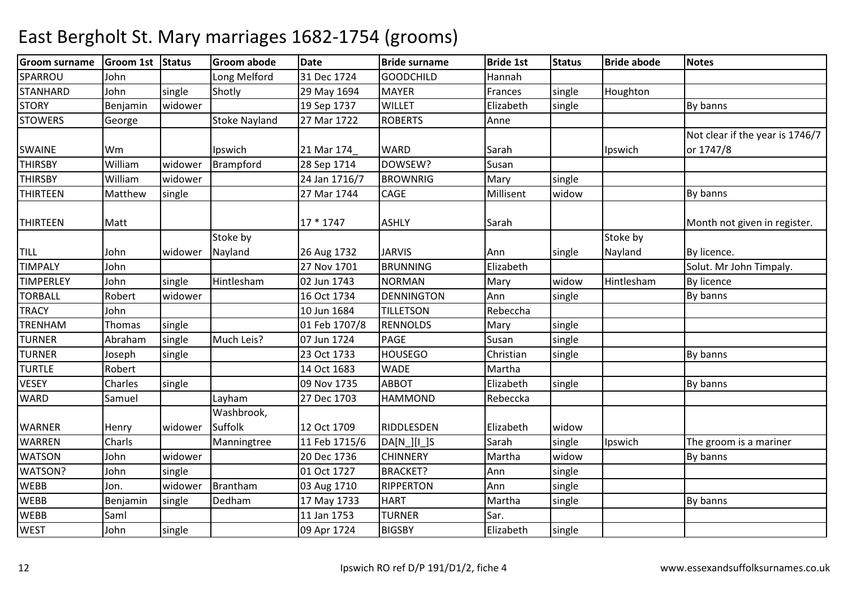| <b>Groom surname</b> | Groom 1st Status |         | <b>Groom abode</b>   | <b>Date</b>   | <b>Bride surname</b>   | <b>Bride 1st</b> | <b>Status</b> | <b>Bride abode</b> | <b>Notes</b>                    |
|----------------------|------------------|---------|----------------------|---------------|------------------------|------------------|---------------|--------------------|---------------------------------|
| SPARROU              | John             |         | Long Melford         | 31 Dec 1724   | <b>GOODCHILD</b>       | Hannah           |               |                    |                                 |
| <b>STANHARD</b>      | John             | single  | Shotly               | 29 May 1694   | <b>MAYER</b>           | Frances          | single        | Houghton           |                                 |
| <b>STORY</b>         | Benjamin         | widower |                      | 19 Sep 1737   | <b>WILLET</b>          | Elizabeth        | single        |                    | By banns                        |
| <b>STOWERS</b>       | George           |         | <b>Stoke Nayland</b> | 27 Mar 1722   | <b>ROBERTS</b>         | Anne             |               |                    |                                 |
|                      |                  |         |                      |               |                        |                  |               |                    | Not clear if the year is 1746/7 |
| <b>SWAINE</b>        | Wm               |         | Ipswich              | 21 Mar 174    | <b>WARD</b>            | Sarah            |               | Ipswich            | or 1747/8                       |
| <b>THIRSBY</b>       | William          | widower | Brampford            | 28 Sep 1714   | DOWSEW?                | Susan            |               |                    |                                 |
| <b>THIRSBY</b>       | William          | widower |                      | 24 Jan 1716/7 | <b>BROWNRIG</b>        | Mary             | single        |                    |                                 |
| <b>THIRTEEN</b>      | Matthew          | single  |                      | 27 Mar 1744   | CAGE                   | Millisent        | widow         |                    | By banns                        |
|                      |                  |         |                      |               |                        |                  |               |                    |                                 |
| <b>THIRTEEN</b>      | Matt             |         |                      | 17 * 1747     | <b>ASHLY</b>           | Sarah            |               |                    | Month not given in register.    |
|                      |                  |         | Stoke by             |               |                        |                  |               | Stoke by           |                                 |
| <b>TILL</b>          | John             | widower | Nayland              | 26 Aug 1732   | <b>JARVIS</b>          | Ann              | single        | Nayland            | By licence.                     |
| <b>TIMPALY</b>       | John             |         |                      | 27 Nov 1701   | <b>BRUNNING</b>        | Elizabeth        |               |                    | Solut. Mr John Timpaly.         |
| <b>TIMPERLEY</b>     | John             | single  | Hintlesham           | 02 Jun 1743   | <b>NORMAN</b>          | Mary             | widow         | Hintlesham         | By licence                      |
| <b>TORBALL</b>       | Robert           | widower |                      | 16 Oct 1734   | <b>DENNINGTON</b>      | Ann              | single        |                    | By banns                        |
| <b>TRACY</b>         | John             |         |                      | 10 Jun 1684   | <b>TILLETSON</b>       | Rebeccha         |               |                    |                                 |
| <b>TRENHAM</b>       | Thomas           | single  |                      | 01 Feb 1707/8 | <b>RENNOLDS</b>        | Mary             | single        |                    |                                 |
| <b>TURNER</b>        | Abraham          | single  | Much Leis?           | 07 Jun 1724   | <b>PAGE</b>            | Susan            | single        |                    |                                 |
| <b>TURNER</b>        | Joseph           | single  |                      | 23 Oct 1733   | <b>HOUSEGO</b>         | Christian        | single        |                    | By banns                        |
| <b>TURTLE</b>        | Robert           |         |                      | 14 Oct 1683   | <b>WADE</b>            | Martha           |               |                    |                                 |
| <b>VESEY</b>         | Charles          | single  |                      | 09 Nov 1735   | <b>ABBOT</b>           | Elizabeth        | single        |                    | By banns                        |
| <b>WARD</b>          | Samuel           |         | Layham               | 27 Dec 1703   | <b>HAMMOND</b>         | Rebeccka         |               |                    |                                 |
|                      |                  |         | Washbrook,           |               |                        |                  |               |                    |                                 |
| <b>WARNER</b>        | Henry            | widower | Suffolk              | 12 Oct 1709   | RIDDLESDEN             | Elizabeth        | widow         |                    |                                 |
| <b>WARREN</b>        | Charls           |         | Manningtree          | 11 Feb 1715/6 | $DA[N_{  }][L_{  }]$ S | Sarah            | single        | Ipswich            | The groom is a mariner          |
| <b>WATSON</b>        | John             | widower |                      | 20 Dec 1736   | <b>CHINNERY</b>        | Martha           | widow         |                    | By banns                        |
| WATSON?              | John             | single  |                      | 01 Oct 1727   | <b>BRACKET?</b>        | Ann              | single        |                    |                                 |
| <b>WEBB</b>          | Jon.             | widower | Brantham             | 03 Aug 1710   | <b>RIPPERTON</b>       | Ann              | single        |                    |                                 |
| <b>WEBB</b>          | Benjamin         | single  | Dedham               | 17 May 1733   | <b>HART</b>            | Martha           | single        |                    | By banns                        |
| <b>WEBB</b>          | Saml             |         |                      | 11 Jan 1753   | <b>TURNER</b>          | Sar.             |               |                    |                                 |
| <b>WEST</b>          | John             | single  |                      | 09 Apr 1724   | <b>BIGSBY</b>          | Elizabeth        | single        |                    |                                 |